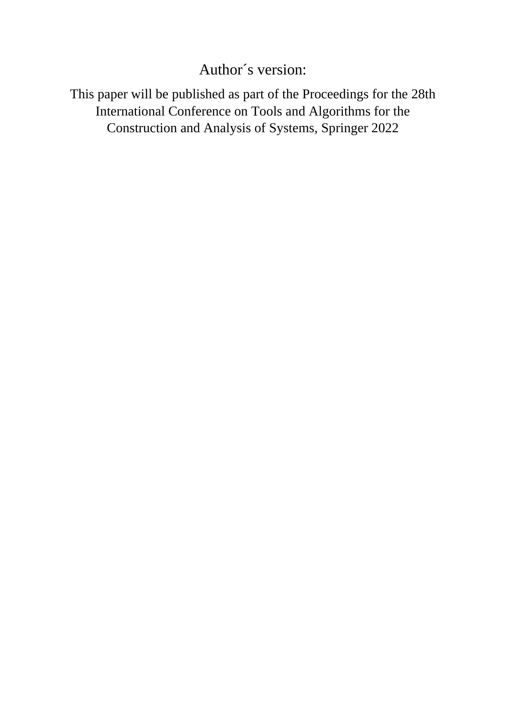# Author´s version:

This paper will be published as part of the Proceedings for the 28th International Conference on Tools and Algorithms for the Construction and Analysis of Systems, Springer 2022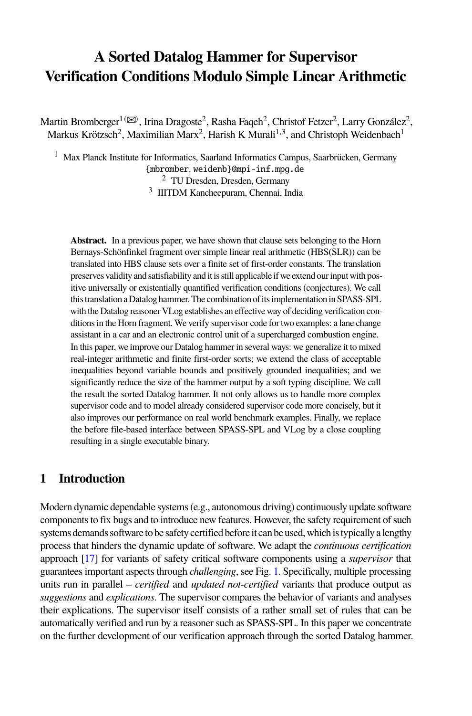# **A Sorted Datalog Hammer for Supervisor Verification Conditions Modulo Simple Linear Arithmetic**

Martin Bromberger $^{1}$  ( $\boxtimes$ ), Irina Dragoste $^{2}$ , Rasha Faqeh $^{2}$ , Christof Fetzer $^{2}$ , Larry González $^{2}$ , Markus Krötzsch<sup>2</sup>, Maximilian Marx<sup>2</sup>, Harish K Murali<sup>1,3</sup>, and Christoph Weidenbach<sup>1</sup>

<sup>1</sup> Max Planck Institute for Informatics, Saarland Informatics Campus, Saarbrücken, Germany {mbromber, weidenb}@mpi-inf.mpg.de <sup>2</sup> TU Dresden, Dresden, Germany <sup>3</sup> IIITDM Kancheepuram, Chennai, India

**Abstract.** In a previous paper, we have shown that clause sets belonging to the Horn Bernays-Schönfinkel fragment over simple linear real arithmetic (HBS(SLR)) can be translated into HBS clause sets over a finite set of first-order constants. The translation preserves validity and satisfiability and it is still applicable if we extend our input with positive universally or existentially quantified verification conditions (conjectures). We call this translation a Datalog hammer. The combination of its implementation in SPASS-SPL with the Datalog reasoner VLog establishes an effective way of deciding verification conditions in the Horn fragment. We verify supervisor code for two examples: a lane change assistant in a car and an electronic control unit of a supercharged combustion engine. In this paper, we improve our Datalog hammer in several ways: we generalize it to mixed real-integer arithmetic and finite first-order sorts; we extend the class of acceptable inequalities beyond variable bounds and positively grounded inequalities; and we significantly reduce the size of the hammer output by a soft typing discipline. We call the result the sorted Datalog hammer. It not only allows us to handle more complex supervisor code and to model already considered supervisor code more concisely, but it also improves our performance on real world benchmark examples. Finally, we replace the before file-based interface between SPASS-SPL and VLog by a close coupling resulting in a single executable binary.

# **1 Introduction**

Modern dynamic dependable systems (e.g., autonomous driving) continuously update software components to fix bugs and to introduce new features. However, the safety requirement of such systems demands software to be safety certified before it can be used, which is typically a lengthy process that hinders the dynamic update of software. We adapt the *continuous certification* approach [\[17\]](#page-21-0) for variants of safety critical software components using a *supervisor* that guarantees important aspects through *challenging*, see Fig. [1.](#page-2-0) Specifically, multiple processing units run in parallel – *certified* and *updated not-certified* variants that produce output as *suggestions* and *explications*. The supervisor compares the behavior of variants and analyses their explications. The supervisor itself consists of a rather small set of rules that can be automatically verified and run by a reasoner such as SPASS-SPL. In this paper we concentrate on the further development of our verification approach through the sorted Datalog hammer.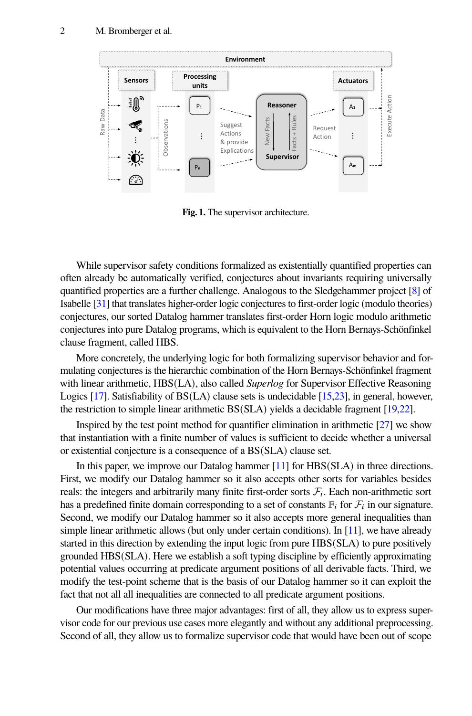

<span id="page-2-0"></span>**Fig. 1.** The supervisor architecture.

While supervisor safety conditions formalized as existentially quantified properties can often already be automatically verified, conjectures about invariants requiring universally quantified properties are a further challenge. Analogous to the Sledgehammer project [\[8\]](#page-20-0) of Isabelle [\[31\]](#page-21-1) that translates higher-order logic conjectures to first-order logic (modulo theories) conjectures, our sorted Datalog hammer translates first-order Horn logic modulo arithmetic conjectures into pure Datalog programs, which is equivalent to the Horn Bernays-Schönfinkel clause fragment, called HBS.

More concretely, the underlying logic for both formalizing supervisor behavior and formulating conjectures is the hierarchic combination of the Horn Bernays-Schönfinkel fragment with linear arithmetic, HBS(LA), also called *Superlog* for Supervisor Effective Reasoning Logics [\[17\]](#page-21-0). Satisfiability of BS(LA) clause sets is undecidable [\[15](#page-20-1)[,23\]](#page-21-2), in general, however, the restriction to simple linear arithmetic BS(SLA) yields a decidable fragment [\[19](#page-21-3)[,22\]](#page-21-4).

Inspired by the test point method for quantifier elimination in arithmetic [\[27\]](#page-21-5) we show that instantiation with a finite number of values is sufficient to decide whether a universal or existential conjecture is a consequence of a BS(SLA) clause set.

In this paper, we improve our Datalog hammer [\[11\]](#page-20-2) for HBS(SLA) in three directions. First, we modify our Datalog hammer so it also accepts other sorts for variables besides reals: the integers and arbitrarily many finite first-order sorts  $\mathcal{F}_i$ . Each non-arithmetic sort has a predefined finite domain corresponding to a set of constants  $\mathbb{F}_i$  for  $\mathcal{F}_i$  in our signature. Second, we modify our Datalog hammer so it also accepts more general inequalities than simple linear arithmetic allows (but only under certain conditions). In [\[11\]](#page-20-2), we have already started in this direction by extending the input logic from pure HBS(SLA) to pure positively grounded HBS(SLA). Here we establish a soft typing discipline by efficiently approximating potential values occurring at predicate argument positions of all derivable facts. Third, we modify the test-point scheme that is the basis of our Datalog hammer so it can exploit the fact that not all all inequalities are connected to all predicate argument positions.

Our modifications have three major advantages: first of all, they allow us to express supervisor code for our previous use cases more elegantly and without any additional preprocessing. Second of all, they allow us to formalize supervisor code that would have been out of scope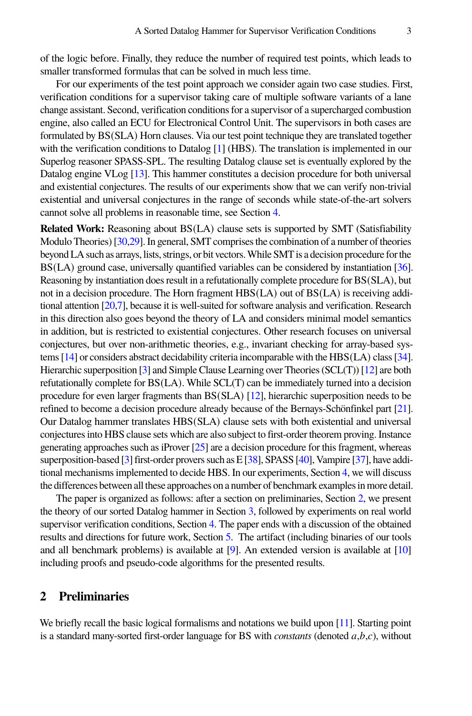of the logic before. Finally, they reduce the number of required test points, which leads to smaller transformed formulas that can be solved in much less time.

For our experiments of the test point approach we consider again two case studies. First, verification conditions for a supervisor taking care of multiple software variants of a lane change assistant. Second, verification conditions for a supervisor of a supercharged combustion engine, also called an ECU for Electronical Control Unit. The supervisors in both cases are formulated by BS(SLA) Horn clauses. Via our test point technique they are translated together with the verification conditions to Datalog [\[1\]](#page-20-3) (HBS). The translation is implemented in our Superlog reasoner SPASS-SPL. The resulting Datalog clause set is eventually explored by the Datalog engine VLog [\[13\]](#page-20-4). This hammer constitutes a decision procedure for both universal and existential conjectures. The results of our experiments show that we can verify non-trivial existential and universal conjectures in the range of seconds while state-of-the-art solvers cannot solve all problems in reasonable time, see Section [4.](#page-17-0)

**Related Work:** Reasoning about BS(LA) clause sets is supported by SMT (Satisfiability Modulo Theories) [\[30,](#page-21-6)[29\]](#page-21-7). In general, SMT comprises the combination of a number of theories beyondLAsuch as arrays, lists, strings, or bit vectors.While SMT is a decision procedure for the BS(LA) ground case, universally quantified variables can be considered by instantiation [\[36\]](#page-22-0). Reasoning by instantiation does result in a refutationally complete procedure for BS(SLA), but not in a decision procedure. The Horn fragment HBS(LA) out of BS(LA) is receiving additional attention [\[20](#page-21-8)[,7\]](#page-20-5), because it is well-suited for software analysis and verification. Research in this direction also goes beyond the theory of LA and considers minimal model semantics in addition, but is restricted to existential conjectures. Other research focuses on universal conjectures, but over non-arithmetic theories, e.g., invariant checking for array-based systems [\[14\]](#page-20-6) or considers abstract decidability criteria incomparable with the HBS(LA) class [\[34\]](#page-21-9). Hierarchic superposition [\[3\]](#page-20-7) and Simple Clause Learning over Theories (SCL(T)) [\[12\]](#page-20-8) are both refutationally complete for BS(LA). While SCL(T) can be immediately turned into a decision procedure for even larger fragments than BS(SLA) [\[12\]](#page-20-8), hierarchic superposition needs to be refined to become a decision procedure already because of the Bernays-Schönfinkel part [\[21\]](#page-21-10). Our Datalog hammer translates HBS(SLA) clause sets with both existential and universal conjectures into HBS clause sets which are also subject to first-order theorem proving. Instance generating approaches such as iProver [\[25\]](#page-21-11) are a decision procedure for this fragment, whereas superposition-based [\[3\]](#page-20-7) first-order provers such as E [\[38\]](#page-22-1), SPASS [\[40\]](#page-22-2), Vampire [\[37\]](#page-22-3), have additional mechanisms implemented to decide HBS. In our experiments, Section [4,](#page-17-0) we will discuss the differences between all these approaches on a number of benchmark examples in more detail.

The paper is organized as follows: after a section on preliminaries, Section [2,](#page-3-0) we present the theory of our sorted Datalog hammer in Section [3,](#page-9-0) followed by experiments on real world supervisor verification conditions, Section [4.](#page-17-0) The paper ends with a discussion of the obtained results and directions for future work, Section [5.](#page-19-0) The artifact (including binaries of our tools and all benchmark problems) is available at [\[9\]](#page-20-9). An extended version is available at [\[10\]](#page-20-10) including proofs and pseudo-code algorithms for the presented results.

# <span id="page-3-0"></span>**2 Preliminaries**

We briefly recall the basic logical formalisms and notations we build upon [\[11\]](#page-20-2). Starting point is a standard many-sorted first-order language for BS with *constants* (denoted  $a,b,c$ ), without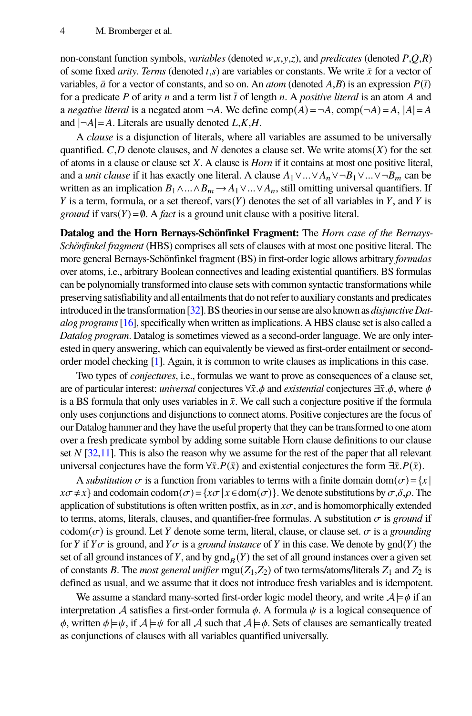non-constant function symbols, *variables* (denoted  $w, x, y, z$ ), and *predicates* (denoted  $P, O, R$ ) of some fixed *arity*. *Terms* (denoted  $t,s$ ) are variables or constants. We write  $\bar{x}$  for a vector of variables,  $\bar{a}$  for a vector of constants, and so on. An *atom* (denoted  $A, B$ ) is an expression  $P(\bar{t})$ for a predicate P of arity n and a term list  $\bar{t}$  of length n. A *positive literal* is an atom A and a *negative literal* is a negated atom  $\neg A$ . We define comp $(A) = \neg A$ , comp $(\neg A) = A$ ,  $|A| = A$ and  $|\neg A| = A$ . Literals are usually denoted  $L, K, H$ .

A *clause* is a disjunction of literals, where all variables are assumed to be universally quantified.  $C, D$  denote clauses, and N denotes a clause set. We write atoms( $X$ ) for the set of atoms in a clause or clause set 𝑋. A clause is *Horn* if it contains at most one positive literal, and a *unit clause* if it has exactly one literal. A clause  $A_1 \vee ... \vee A_n \vee B_1 \vee ... \vee B_m$  can be written as an implication  $B_1 \wedge ... \wedge B_m \rightarrow A_1 \vee ... \vee A_n$ , still omitting universal quantifiers. If Y is a term, formula, or a set thereof, vars $(Y)$  denotes the set of all variables in Y, and Y is *ground* if vars $(Y) = \emptyset$ . A *fact* is a ground unit clause with a positive literal.

**Datalog and the Horn Bernays-Schönfinkel Fragment:** The *Horn case of the Bernays-Schönfinkel fragment* (HBS) comprises all sets of clauses with at most one positive literal. The more general Bernays-Schönfinkel fragment (BS) in first-order logic allows arbitrary *formulas* over atoms, i.e., arbitrary Boolean connectives and leading existential quantifiers. BS formulas can be polynomially transformed into clause sets with common syntactic transformations while preserving satisfiability and all entailments that do not refer to auxiliary constants and predicates introducedinthetransformation [\[32\]](#page-21-12).BStheoriesin our sense are also known as *disjunctive Datalog programs*[\[16\]](#page-21-13), specifically when written as implications. A HBS clause set is also called a *Datalog program*. Datalog is sometimes viewed as a second-order language. We are only interested in query answering, which can equivalently be viewed as first-order entailment or secondorder model checking [\[1\]](#page-20-3). Again, it is common to write clauses as implications in this case.

Two types of *conjectures*, i.e., formulas we want to prove as consequences of a clause set, are of particular interest: *universal* conjectures ∀ $\bar{x}.\phi$  and *existential* conjectures  $\exists \bar{x}.\phi$ , where  $\phi$ is a BS formula that only uses variables in  $\bar{x}$ . We call such a conjecture positive if the formula only uses conjunctions and disjunctions to connect atoms. Positive conjectures are the focus of our Datalog hammer and they have the useful property that they can be transformed to one atom over a fresh predicate symbol by adding some suitable Horn clause definitions to our clause set  $N$  [\[32,](#page-21-12)[11\]](#page-20-2). This is also the reason why we assume for the rest of the paper that all relevant universal conjectures have the form  $\forall \bar{x}.P(\bar{x})$  and existential conjectures the form  $\exists \bar{x}.P(\bar{x})$ .

A *substitution*  $\sigma$  is a function from variables to terms with a finite domain dom( $\sigma$ ) = {x |  $x\sigma \neq x$ } and codomain codom $(\sigma) = \{x\sigma | x \in \text{dom}(\sigma)\}\.$  We denote substitutions by  $\sigma, \delta, \rho$ . The application of substitutions is often written postfix, as in  $x\sigma$ , and is homomorphically extended to terms, atoms, literals, clauses, and quantifier-free formulas. A substitution  $\sigma$  is *ground* if codom( $\sigma$ ) is ground. Let Y denote some term, literal, clause, or clause set.  $\sigma$  is a *grounding* for Y if  $Y\sigma$  is ground, and  $Y\sigma$  is a *ground instance* of Y in this case. We denote by gnd(Y) the set of all ground instances of Y, and by  $\text{gnd}_B(Y)$  the set of all ground instances over a given set of constants B. The *most general unifier* mgu( $Z_1$ , $Z_2$ ) of two terms/atoms/literals  $Z_1$  and  $Z_2$  is defined as usual, and we assume that it does not introduce fresh variables and is idempotent.

We assume a standard many-sorted first-order logic model theory, and write  $A \models \phi$  if an interpretation A satisfies a first-order formula  $\phi$ . A formula  $\psi$  is a logical consequence of  $\phi$ , written  $\phi \models \psi$ , if  $\mathcal{A} \models \psi$  for all  $\mathcal{A}$  such that  $\mathcal{A} \models \phi$ . Sets of clauses are semantically treated as conjunctions of clauses with all variables quantified universally.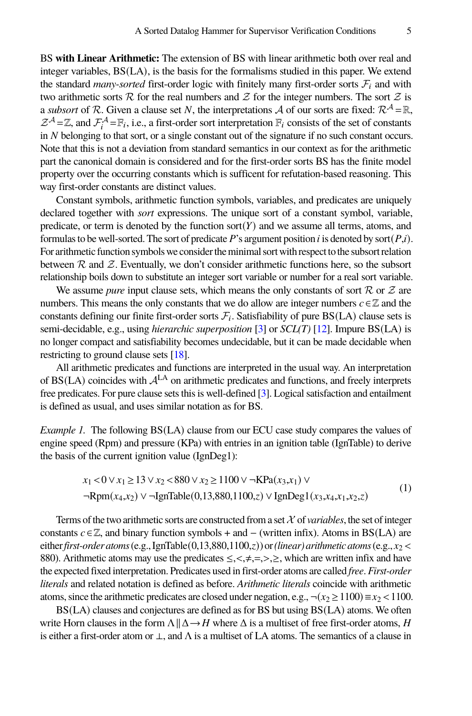BS **with Linear Arithmetic:** The extension of BS with linear arithmetic both over real and integer variables, BS(LA), is the basis for the formalisms studied in this paper. We extend the standard *many-sorted* first-order logic with finitely many first-order sorts  $\mathcal{F}_i$  and with two arithmetic sorts  $R$  for the real numbers and  $\mathcal Z$  for the integer numbers. The sort  $\mathcal Z$  is a *subsort* of R. Given a clause set N, the interpretations A of our sorts are fixed:  $\mathbb{R}^{\mathcal{A}} = \mathbb{R}$ ,  $\mathcal{Z}^{\mathcal{A}} = \mathbb{Z}$ , and  $\mathcal{F}^{\mathcal{A}}_i = \mathbb{F}_i$ , i.e., a first-order sort interpretation  $\mathbb{F}_i$  consists of the set of constants in  $N$  belonging to that sort, or a single constant out of the signature if no such constant occurs. Note that this is not a deviation from standard semantics in our context as for the arithmetic part the canonical domain is considered and for the first-order sorts BS has the finite model property over the occurring constants which is sufficent for refutation-based reasoning. This way first-order constants are distinct values.

Constant symbols, arithmetic function symbols, variables, and predicates are uniquely declared together with *sort* expressions. The unique sort of a constant symbol, variable, predicate, or term is denoted by the function  $sort(Y)$  and we assume all terms, atoms, and formulas to be well-sorted. The sort of predicate  $P$ 's argument position i is denoted by sort( $P$ ,i). For arithmetic function symbols we consider the minimal sort with respect to the subsort relation between  $R$  and  $Z$ . Eventually, we don't consider arithmetic functions here, so the subsort relationship boils down to substitute an integer sort variable or number for a real sort variable.

We assume *pure* input clause sets, which means the only constants of sort  $\mathcal R$  or  $\mathcal Z$  are numbers. This means the only constants that we do allow are integer numbers  $c \in \mathbb{Z}$  and the constants defining our finite first-order sorts  $\mathcal{F}_i$ . Satisfiability of pure BS(LA) clause sets is semi-decidable, e.g., using *hierarchic superposition* [\[3\]](#page-20-7) or *SCL(T)* [\[12\]](#page-20-8). Impure BS(LA) is no longer compact and satisfiability becomes undecidable, but it can be made decidable when restricting to ground clause sets [\[18\]](#page-21-14).

All arithmetic predicates and functions are interpreted in the usual way. An interpretation of  $BS(LA)$  coincides with  $A<sup>LA</sup>$  on arithmetic predicates and functions, and freely interprets free predicates. For pure clause sets this is well-defined [\[3\]](#page-20-7). Logical satisfaction and entailment is defined as usual, and uses similar notation as for BS.

<span id="page-5-1"></span>*Example 1.* The following BS(LA) clause from our ECU case study compares the values of engine speed (Rpm) and pressure (KPa) with entries in an ignition table (IgnTable) to derive the basis of the current ignition value (IgnDeg1):

<span id="page-5-0"></span>
$$
x_1 < 0 \lor x_1 \ge 13 \lor x_2 < 880 \lor x_2 \ge 1100 \lor \neg \text{KPa}(x_3, x_1) \lor \n\neg \text{Rpm}(x_4, x_2) \lor \neg \text{IgnTable}(0, 13,880, 1100, z) \lor \text{IgnDeg1}(x_3, x_4, x_1, x_2, z)
$$
\n(1)

Terms of the two arithmetic sorts are constructed from a set  $X$  of *variables*, the set of integer constants  $c \in \mathbb{Z}$ , and binary function symbols + and – (written infix). Atoms in BS(LA) are either *first-order atoms* (e.g., IgnTable(0,13,880,1100,z)) or *(linear) arithmetic atoms* (e.g.,  $x_2$  < 880). Arithmetic atoms may use the predicates  $\leq, \leq, \neq, =, >, \geq$ , which are written infix and have the expected fixed interpretation. Predicates used in first-order atoms are called *free*. *First-order literals* and related notation is defined as before. *Arithmetic literals* coincide with arithmetic atoms, since the arithmetic predicates are closed under negation, e.g.,  $\neg (x_2 \ge 1100) \equiv x_2 < 1100$ .

BS(LA) clauses and conjectures are defined as for BS but using BS(LA) atoms. We often write Horn clauses in the form  $\Lambda \parallel \Delta \rightarrow H$  where  $\Delta$  is a multiset of free first-order atoms, H is either a first-order atom or  $\perp$ , and  $\Lambda$  is a multiset of LA atoms. The semantics of a clause in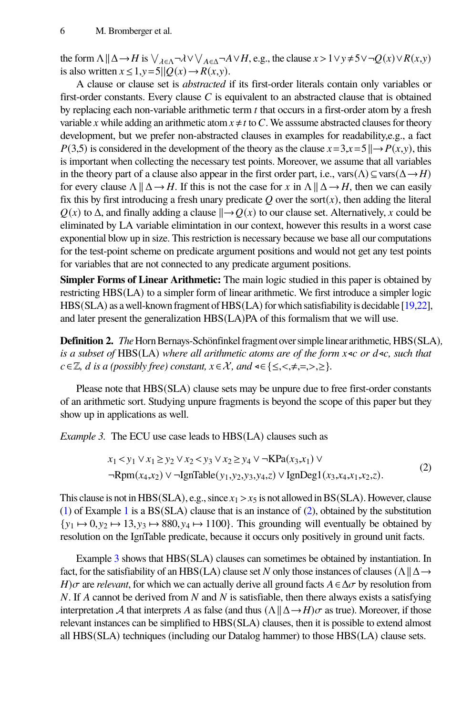the form  $\Lambda \| \Delta \to H$  is  $\bigvee_{\lambda \in \Lambda} \neg \lambda \vee \bigvee_{A \in \Delta} \neg A \vee H$ , e.g., the clause  $x > 1 \vee y \neq 5 \vee \neg Q(x) \vee R(x, y)$ is also written  $x \le 1, y = 5||Q(x) \rightarrow R(x, y)$ .

A clause or clause set is *abstracted* if its first-order literals contain only variables or first-order constants. Every clause  $C$  is equivalent to an abstracted clause that is obtained by replacing each non-variable arithmetic term  $t$  that occurs in a first-order atom by a fresh variable x while adding an arithmetic atom  $x \neq t$  to C. We asssume abstracted clauses for theory development, but we prefer non-abstracted clauses in examples for readability,e.g., a fact  $P(3,5)$  is considered in the development of the theory as the clause  $x=3, x=5 \implies P(x,y)$ , this is important when collecting the necessary test points. Moreover, we assume that all variables in the theory part of a clause also appear in the first order part, i.e., vars( $\Lambda$ )  $\subseteq$  vars( $\Delta \rightarrow H$ ) for every clause  $\Lambda \parallel \Delta \rightarrow H$ . If this is not the case for x in  $\Lambda \parallel \Delta \rightarrow H$ , then we can easily fix this by first introducing a fresh unary predicate  $Q$  over the sort $(x)$ , then adding the literal  $Q(x)$  to  $\Delta$ , and finally adding a clause  $\parallel \rightarrow Q(x)$  to our clause set. Alternatively, x could be eliminated by LA variable elimintation in our context, however this results in a worst case exponential blow up in size. This restriction is necessary because we base all our computations for the test-point scheme on predicate argument positions and would not get any test points for variables that are not connected to any predicate argument positions.

**Simpler Forms of Linear Arithmetic:** The main logic studied in this paper is obtained by restricting HBS(LA) to a simpler form of linear arithmetic. We first introduce a simpler logic HBS(SLA) as a well-known fragment of HBS(LA) for which satisfiability is decidable [\[19](#page-21-3)[,22\]](#page-21-4), and later present the generalization HBS(LA)PA of this formalism that we will use.

**Definition 2.** *The* Horn Bernays-Schönfinkel fragment over simple linear arithmetic, HBS(SLA), *is a subset of* HBS(LA) *where all arithmetic atoms are of the form x* <sup>*s*</sup> *or d* ∢*c*, *such that*  $c \in \mathbb{Z}$ , *d* is a (possibly free) constant,  $x \in \mathcal{X}$ , and  $\leq \leq \leq, \leq, \neq, \geq, \geq$ }.

Please note that HBS(SLA) clause sets may be unpure due to free first-order constants of an arithmetic sort. Studying unpure fragments is beyond the scope of this paper but they show up in applications as well.

<span id="page-6-1"></span>*Example 3.* The ECU use case leads to HBS(LA) clauses such as

<span id="page-6-0"></span>
$$
x_1 < y_1 \lor x_1 \ge y_2 \lor x_2 < y_3 \lor x_2 \ge y_4 \lor \neg \text{KPa}(x_3, x_1) \lor \neg \text{Rpm}(x_4, x_2) \lor \neg \text{IgnTable}(y_1, y_2, y_3, y_4, z) \lor \text{IgnDeg1}(x_3, x_4, x_1, x_2, z).
$$
 (2)

This clause is not in HBS(SLA), e.g., since  $x_1 > x_5$  is not allowed in BS(SLA). However, clause [\(1\)](#page-5-0) of Example [1](#page-5-1) is a  $BS(SLA)$  clause that is an instance of [\(2\)](#page-6-0), obtained by the substitution  $\{y_1 \mapsto 0, y_2 \mapsto 13, y_3 \mapsto 880, y_4 \mapsto 1100\}$ . This grounding will eventually be obtained by resolution on the IgnTable predicate, because it occurs only positively in ground unit facts.

Example [3](#page-6-1) shows that HBS(SLA) clauses can sometimes be obtained by instantiation. In fact, for the satisfiability of an HBS(LA) clause set N only those instances of clauses ( $\Lambda \parallel \Delta \rightarrow$  $H$ ) $\sigma$  are *relevant*, for which we can actually derive all ground facts  $A \in \Delta \sigma$  by resolution from  $N$ . If A cannot be derived from  $N$  and  $N$  is satisfiable, then there always exists a satisfying interpretation A that interprets A as false (and thus  $(\Lambda \| \Delta \rightarrow H)\sigma$  as true). Moreover, if those relevant instances can be simplified to HBS(SLA) clauses, then it is possible to extend almost all HBS(SLA) techniques (including our Datalog hammer) to those HBS(LA) clause sets.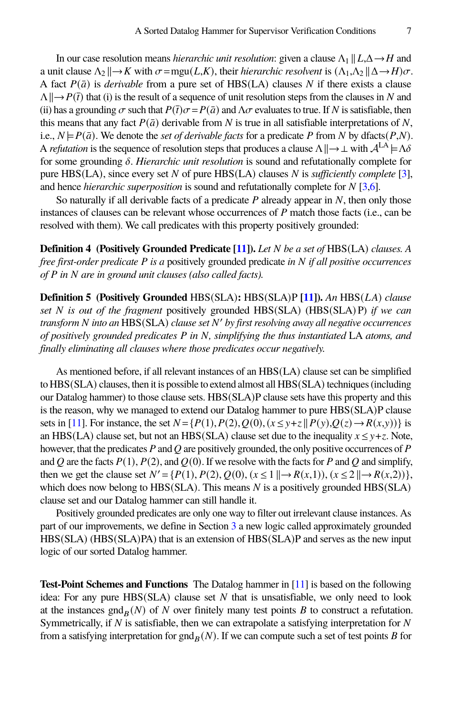In our case resolution means *hierarchic unit resolution*: given a clause  $\Lambda_1 || L, \Delta \rightarrow H$  and a unit clause  $\Lambda_2 \parallel \rightarrow K$  with  $\sigma = \text{mgu}(L,K)$ , their *hierarchic resolvent* is  $(\Lambda_1, \Lambda_2 \parallel \Delta \rightarrow H)\sigma$ . A fact  $P(\bar{a})$  is *derivable* from a pure set of HBS(LA) clauses N if there exists a clause  $\Lambda \rightarrow P(\bar{t})$  that (i) is the result of a sequence of unit resolution steps from the clauses in N and (ii) has a grounding  $\sigma$  such that  $P(\bar{t})\sigma = P(\bar{a})$  and  $\Lambda\sigma$  evaluates to true. If N is satisfiable, then this means that any fact  $P(\bar{a})$  derivable from N is true in all satisfiable interpretations of N, i.e.,  $N \models P(\bar{a})$ . We denote the *set of derivable facts* for a predicate P from N by dfacts( $P, N$ ). A *refutation* is the sequence of resolution steps that produces a clause  $\Lambda \parallel \rightarrow \perp$  with  $\mathcal{A}^{LA} \models \Lambda \delta$ for some grounding  $\delta$ . *Hierarchic unit resolution* is sound and refutationally complete for pure  $HBS(LA)$ , since every set N of pure  $HBS(LA)$  clauses N is *sufficiently complete* [\[3\]](#page-20-7), and hence *hierarchic superposition* is sound and refutationally complete for N [\[3,](#page-20-7)[6\]](#page-20-11).

So naturally if all derivable facts of a predicate  $P$  already appear in  $N$ , then only those instances of clauses can be relevant whose occurrences of  $P$  match those facts (i.e., can be resolved with them). We call predicates with this property positively grounded:

**Definition 4 (Positively Grounded Predicate [\[11\]](#page-20-2)).** *Let* 𝑁 *be a set of* HBS(LA) *clauses. A free first-order predicate P is a positively grounded predicate in N if all positive occurrences of P* in *N* are in ground unit clauses (also called facts).

**Definition 5 (Positively Grounded** HBS(SLA)**:** HBS(SLA)P [\[11\]](#page-20-2)). *An* HBS(*LA*) *clause set N is out of the fragment* positively grounded HBS(SLA) (HBS(SLA) P) *if we can transform* 𝑁 *into an* HBS(SLA) *clause set* 𝑁 <sup>0</sup> *by first resolving away all negative occurrences of positively grounded predicates* P in N, *simplifying the thus instantiated* LA *atoms, and finally eliminating all clauses where those predicates occur negatively.*

As mentioned before, if all relevant instances of an HBS(LA) clause set can be simplified to HBS(SLA) clauses, then it is possible to extend almost all HBS(SLA) techniques (including our Datalog hammer) to those clause sets. HBS(SLA)P clause sets have this property and this is the reason, why we managed to extend our Datalog hammer to pure HBS(SLA)P clause sets in [\[11\]](#page-20-2). For instance, the set  $N = {P(1), P(2), Q(0), (x \le y+z \parallel P(y), Q(z) \rightarrow R(x,y))}$  is an HBS(LA) clause set, but not an HBS(SLA) clause set due to the inequality  $x \leq y + z$ . Note, however, that the predicates  $P$  and  $Q$  are positively grounded, the only positive occurrences of  $P$ and Q are the facts  $P(1)$ ,  $P(2)$ , and  $Q(0)$ . If we resolve with the facts for P and Q and simplify, then we get the clause set  $N' = \{P(1), P(2), Q(0), (x \le 1 \mid \rightarrow R(x,1)), (x \le 2 \mid \rightarrow R(x,2))\}$ , which does now belong to HBS( $SLA$ ). This means N is a positively grounded HBS( $SLA$ ) clause set and our Datalog hammer can still handle it.

Positively grounded predicates are only one way to filter out irrelevant clause instances. As part of our improvements, we define in Section [3](#page-9-0) a new logic called approximately grounded HBS(SLA) (HBS(SLA)PA) that is an extension of HBS(SLA)P and serves as the new input logic of our sorted Datalog hammer.

**Test-Point Schemes and Functions** The Datalog hammer in [\[11\]](#page-20-2) is based on the following idea: For any pure  $HBS(SLA)$  clause set  $N$  that is unsatisfiable, we only need to look at the instances  $\text{gnd}_B(N)$  of N over finitely many test points B to construct a refutation. Symmetrically, if  $N$  is satisfiable, then we can extrapolate a satisfying interpretation for  $N$ from a satisfying interpretation for gnd $_B(N)$ . If we can compute such a set of test points B for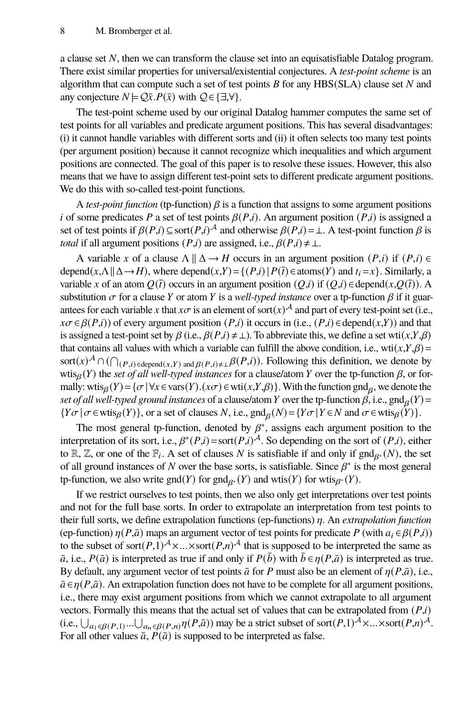a clause set  $N$ , then we can transform the clause set into an equisatisfiable Datalog program. There exist similar properties for universal/existential conjectures. A *test-point scheme* is an algorithm that can compute such a set of test points  $B$  for any HBS(SLA) clause set  $N$  and any conjecture  $N \models Q\bar{x}.P(\bar{x})$  with  $Q \in \{\exists, \forall\}.$ 

The test-point scheme used by our original Datalog hammer computes the same set of test points for all variables and predicate argument positions. This has several disadvantages: (i) it cannot handle variables with different sorts and (ii) it often selects too many test points (per argument position) because it cannot recognize which inequalities and which argument positions are connected. The goal of this paper is to resolve these issues. However, this also means that we have to assign different test-point sets to different predicate argument positions. We do this with so-called test-point functions.

A *test-point function* (tp-function)  $\beta$  is a function that assigns to some argument positions i of some predicates P a set of test points  $\beta(P,i)$ . An argument position  $(P,i)$  is assigned a set of test points if  $\beta(P,i) \subseteq \text{sort}(P,i)^{\mathcal{A}}$  and otherwise  $\beta(P,i) = \bot$ . A test-point function  $\beta$  is *total* if all argument positions  $(P,i)$  are assigned, i.e.,  $\beta(P,i) \neq \bot$ .

A variable x of a clause  $\Lambda \parallel \Delta \rightarrow H$  occurs in an argument position  $(P,i)$  if  $(P,i) \in$ depend( $x, \Lambda \parallel \Delta \rightarrow H$ ), where depend( $x, Y$ ) = {( $P, i$ ) |  $P(\overline{i}) \in \text{atoms}(Y)$  and  $t_i = x$ }. Similarly, a variable x of an atom  $Q(\bar{t})$  occurs in an argument position  $(Q,i)$  if  $(Q,i) \in \text{depend}(x,Q(\bar{t}))$ . A substitution  $\sigma$  for a clause Y or atom Y is a *well-typed instance* over a tp-function  $\beta$  if it guarantees for each variable x that  $x\sigma$  is an element of sort $(x)^{\mathcal{A}}$  and part of every test-point set (i.e.,  $x\sigma \in \beta(P,i)$ ) of every argument position  $(P,i)$  it occurs in (i.e.,  $(P,i) \in \text{depend}(x,Y)$ ) and that is assigned a test-point set by  $\beta$  (i.e.,  $\beta(P,i) \neq \bot$ ). To abbreviate this, we define a set wti $(x, Y, \beta)$ that contains all values with which a variable can fulfill the above condition, i.e., wti $(x, Y, \beta)$  = sort $(x)$ <sup>A</sup>  $\cap$  ( $\bigcap_{(P,i) \in \text{depend}(x,Y)}$  and  $\beta(P,i) \neq \beta(P,i)$ ). Following this definition, we denote by wtis $_{\beta}(Y)$  the *set of all well-typed instances* for a clause/atom Y over the tp-function  $\beta$ , or formally: wtis $_\beta(Y) = \{ \sigma \mid \forall x \in \text{vars}(Y) . (x\sigma) \in \text{wti}(x, Y, \beta) \}$ . With the function gnd<sub> $\beta$ </sub>, we denote the set of all well-typed ground instances of a clause/atom Y over the tp-function  $\beta$ , i.e.,  $\text{gnd}_{\beta}(Y)$  =  $\{Y\sigma \mid \sigma \in \text{wtis}_{\beta}(Y)\}\,$ , or a set of clauses N, i.e.,  $\text{gnd}_{\beta}(N) = \{Y\sigma \mid Y \in N \text{ and } \sigma \in \text{wtis}_{\beta}(Y)\}\.$ 

The most general tp-function, denoted by  $\beta^*$ , assigns each argument position to the interpretation of its sort, i.e.,  $\beta^*(P,i) = \text{sort}(P,i)^{\mathcal{A}}$ . So depending on the sort of  $(P,i)$ , either to R, Z, or one of the  $\mathbb{F}_i$ . A set of clauses N is satisfiable if and only if  $\text{gnd}_{\beta^*}(N)$ , the set of all ground instances of N over the base sorts, is satisfiable. Since  $\beta^*$  is the most general tp-function, we also write  $\text{gnd}(Y)$  for  $\text{gnd}_{\beta^*}(Y)$  and wtis $(Y)$  for wtis $_{\beta^*}(Y)$ .

If we restrict ourselves to test points, then we also only get interpretations over test points and not for the full base sorts. In order to extrapolate an interpretation from test points to their full sorts, we define extrapolation functions (ep-functions)  $\eta$ . An *extrapolation function* (ep-function)  $\eta(P,\bar{a})$  maps an argument vector of test points for predicate P (with  $a_i \in \beta(P,i)$ ) to the subset of sort $(P,1)^{A} \times ... \times$ sort $(P,n)^{A}$  that is supposed to be interpreted the same as  $\bar{a}$ , i.e.,  $P(\bar{a})$  is interpreted as true if and only if  $P(\bar{b})$  with  $\bar{b} \in \eta(P,\bar{a})$  is interpreted as true. By default, any argument vector of test points  $\bar{a}$  for P must also be an element of  $\eta(P,\bar{a})$ , i.e.,  $\bar{a} \in \eta(P, \bar{a})$ . An extrapolation function does not have to be complete for all argument positions, i.e., there may exist argument positions from which we cannot extrapolate to all argument vectors. Formally this means that the actual set of values that can be extrapolated from  $(P,i)$ (i.e.,  $\bigcup_{a_1 \in \beta(P,1)}...\bigcup_{a_n \in \beta(P,n)} \eta(P,\bar{a})$ ) may be a strict subset of sort $(P,1)^\mathcal{A} \times ... \times$ sort $(P,n)^\mathcal{A}$ . For all other values  $\bar{a}$ ,  $P(\bar{a})$  is supposed to be interpreted as false.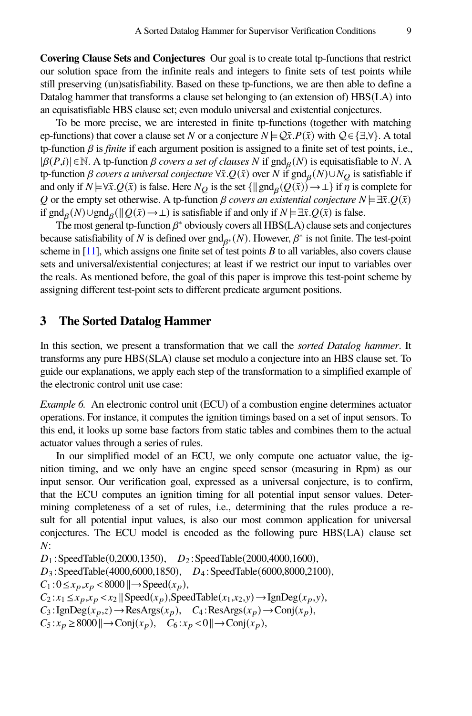**Covering Clause Sets and Conjectures** Our goal is to create total tp-functions that restrict our solution space from the infinite reals and integers to finite sets of test points while still preserving (un)satisfiability. Based on these tp-functions, we are then able to define a Datalog hammer that transforms a clause set belonging to (an extension of) HBS(LA) into an equisatisfiable HBS clause set; even modulo universal and existential conjectures.

To be more precise, we are interested in finite tp-functions (together with matching ep-functions) that cover a clause set N or a conjecture  $N \models \mathcal{Q}\bar{x}.P(\bar{x})$  with  $\mathcal{Q} \in \{\exists, \forall\}$ . A total tp-function  $\beta$  is *finite* if each argument position is assigned to a finite set of test points, i.e.,  $|\beta(P,i)| \in \mathbb{N}$ . A tp-function  $\beta$  *covers a set of clauses* N if  $\text{gnd}_\beta(N)$  is equisatisfiable to N. A tp-function *β covers a universal conjecture*  $\forall \bar{x}.Q(\bar{x})$  over *N* if gnd<sub>β</sub>(*N*)∪*N*<sub>*Q*</sub> is satisfiable if and only if  $N \models \forall \bar{x} . Q(\bar{x})$  is false. Here  $N_Q$  is the set  $\{ \| \text{gnd}_\beta(Q(\bar{x})) \to \bot \}$  if  $\eta$  is complete for Q or the empty set otherwise. A tp-function  $\beta$  *covers an existential conjecture*  $N \models \exists \bar{x} . Q(\bar{x})$ if gnd<sub>β</sub>( $N$ )∪gnd<sub>β</sub>( $\parallel$ Q( $\bar{x}$ ) →  $\perp$ ) is satisfiable if and only if  $N \models \exists \bar{x} . Q(\bar{x})$  is false.

The most general tp-function  $\beta^*$  obviously covers all HBS(LA) clause sets and conjectures because satisfiability of N is defined over  $\text{gnd}_{\beta^*}(N)$ . However,  $\beta^*$  is not finite. The test-point scheme in  $[11]$ , which assigns one finite set of test points B to all variables, also covers clause sets and universal/existential conjectures; at least if we restrict our input to variables over the reals. As mentioned before, the goal of this paper is improve this test-point scheme by assigning different test-point sets to different predicate argument positions.

#### <span id="page-9-0"></span>**3 The Sorted Datalog Hammer**

In this section, we present a transformation that we call the *sorted Datalog hammer*. It transforms any pure HBS(SLA) clause set modulo a conjecture into an HBS clause set. To guide our explanations, we apply each step of the transformation to a simplified example of the electronic control unit use case:

<span id="page-9-1"></span>*Example 6.* An electronic control unit (ECU) of a combustion engine determines actuator operations. For instance, it computes the ignition timings based on a set of input sensors. To this end, it looks up some base factors from static tables and combines them to the actual actuator values through a series of rules.

In our simplified model of an ECU, we only compute one actuator value, the ignition timing, and we only have an engine speed sensor (measuring in Rpm) as our input sensor. Our verification goal, expressed as a universal conjecture, is to confirm, that the ECU computes an ignition timing for all potential input sensor values. Determining completeness of a set of rules, i.e., determining that the rules produce a result for all potential input values, is also our most common application for universal conjectures. The ECU model is encoded as the following pure HBS(LA) clause set  $N:$ 

 $D_1$ : SpeedTable(0,2000,1350),  $D_2$ : SpeedTable(2000,4000,1600),  $D_3$ : SpeedTable(4000,6000,1850),  $D_4$ : SpeedTable(6000,8000,2100),  $C_1:0\leq x_p,x_p<8000$   $\rightarrow$  Speed $(x_p),$  $C_2: x_1 \leq x_p, x_p < x_2 \in \text{Speed}(x_p), \text{SpeedTable}(x_1, x_2, y) \rightarrow \text{lgnDeg}(x_p, y),$  $C_3$ : IgnDeg( $x_p, z$ )  $\rightarrow$  ResArgs( $x_p$ ),  $C_4$ : ResArgs( $x_p$ )  $\rightarrow$ Conj( $x_p$ ),  $C_5: x_p \geq 8000 \, || \rightarrow \text{Conj}(x_p), \quad C_6: x_p < 0 \, || \rightarrow \text{Conj}(x_p),$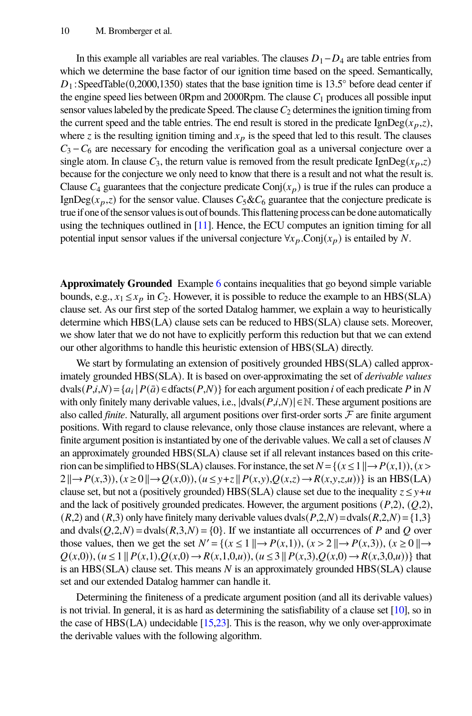In this example all variables are real variables. The clauses  $D_1 - D_4$  are table entries from which we determine the base factor of our ignition time based on the speed. Semantically,  $D_1$ : SpeedTable(0,2000,1350) states that the base ignition time is 13.5° before dead center if the engine speed lies between 0Rpm and 2000Rpm. The clause  $C_1$  produces all possible input sensor values labeled by the predicate Speed. The clause  $C<sub>2</sub>$  determines the ignition timing from the current speed and the table entries. The end result is stored in the predicate IgnDeg( $x_p, z$ ), where z is the resulting ignition timing and  $x_p$  is the speed that led to this result. The clauses  $C_3 - C_6$  are necessary for encoding the verification goal as a universal conjecture over a single atom. In clause  $C_3$ , the return value is removed from the result predicate IgnDeg( $x_n, z$ ) because for the conjecture we only need to know that there is a result and not what the result is. Clause  $C_4$  guarantees that the conjecture predicate Conj( $x_n$ ) is true if the rules can produce a IgnDeg( $x_p$ , $z$ ) for the sensor value. Clauses  $C_5 \& C_6$  guarantee that the conjecture predicate is trueif one ofthe sensor valuesis out of bounds. This flattening process can be done automatically using the techniques outlined in [\[11\]](#page-20-2). Hence, the ECU computes an ignition timing for all potential input sensor values if the universal conjecture  $\forall x_p$ . Conj $(x_p)$  is entailed by N.

**Approximately Grounded** Example [6](#page-9-1) contains inequalities that go beyond simple variable bounds, e.g.,  $x_1 \le x_p$  in  $C_2$ . However, it is possible to reduce the example to an HBS(SLA) clause set. As our first step of the sorted Datalog hammer, we explain a way to heuristically determine which HBS(LA) clause sets can be reduced to HBS(SLA) clause sets. Moreover, we show later that we do not have to explicitly perform this reduction but that we can extend our other algorithms to handle this heuristic extension of HBS(SLA) directly.

We start by formulating an extension of positively grounded HBS(SLA) called approximately grounded HBS(SLA). It is based on over-approximating the set of *derivable values*  $dvals(P, i, N) = {a_i | P(\bar{a}) \in dfacts(P, N)}$  for each argument position *i* of each predicate *P* in *N* with only finitely many derivable values, i.e.,  $|dvals(P,i,N)| \in \mathbb{N}$ . These argument positions are also called *finite*. Naturally, all argument positions over first-order sorts  $F$  are finite argument positions. With regard to clause relevance, only those clause instances are relevant, where a finite argument position is instantiated by one of the derivable values. We call a set of clauses  $N$ an approximately grounded HBS(SLA) clause set if all relevant instances based on this criterion can be simplified to HBS(SLA) clauses. For instance, the set  $N = \{(x \leq 1 \mid | \rightarrow P(x,1)), (x > 1)\}$  $2 \| \rightarrow P(x,3)$ ,  $(x \ge 0 \| \rightarrow Q(x,0))$ ,  $(u \le y + z \| P(x,y), Q(x,z) \rightarrow R(x,y,z,u))$  is an HBS(LA) clause set, but not a (positively grounded) HBS(SLA) clause set due to the inequality  $z \leq y+u$ and the lack of positively grounded predicates. However, the argument positions  $(P,2)$ ,  $(Q,2)$ ,  $(R,2)$  and  $(R,3)$  only have finitely many derivable values dvals $(P,2,N)$  = dvals $(R,2,N)$  = {1,3} and dvals $(Q, 2, N)$  = dvals $(R, 3, N)$  = {0}. If we instantiate all occurrences of P and Q over those values, then we get the set  $N' = \{(x \leq 1 \mid | \rightarrow P(x,1)), (x > 2 \mid | \rightarrow P(x,3)), (x \geq 0 \mid | \rightarrow P(x,4) \mid | \rightarrow P(x,5) \mid | \rightarrow P(x,5) \mid | \rightarrow P(x,5) \mid | \rightarrow P(x,5) \mid | \rightarrow P(x,5) \mid | \rightarrow P(x,5) \mid | \rightarrow P(x,5) \mid | \rightarrow P(x,5) \mid | \rightarrow P(x,5) \mid | \rightarrow P(x,5) \mid | \rightarrow P(x,5) \mid | \rightarrow P(x,5) \mid | \rightarrow P(x,5) \mid |$  $Q(x,0), (u \leq 1 \mid P(x,1), Q(x,0) \to R(x,1,0,u)), (u \leq 3 \mid P(x,3), Q(x,0) \to R(x,3,0,u))$ } that is an  $HBS(SLA)$  clause set. This means  $N$  is an approximately grounded  $HBS(SLA)$  clause set and our extended Datalog hammer can handle it.

Determining the finiteness of a predicate argument position (and all its derivable values) is not trivial. In general, it is as hard as determining the satisfiability of a clause set [\[10\]](#page-20-10), so in the case of  $HBS(LA)$  undecidable  $[15,23]$  $[15,23]$ . This is the reason, why we only over-approximate the derivable values with the following algorithm.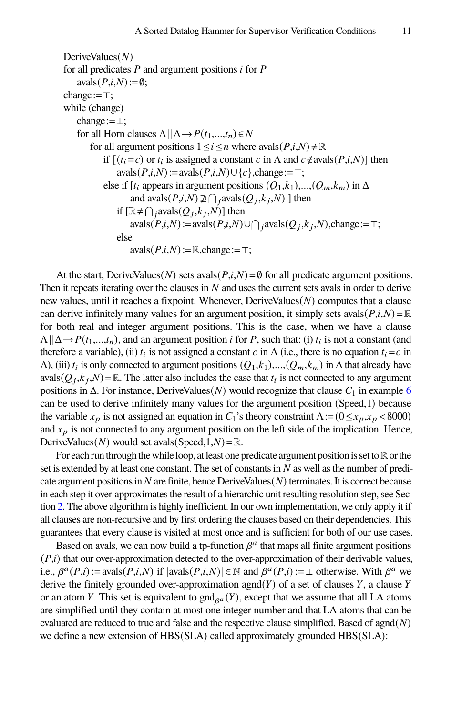```
DeriveValues(N)for all predicates P and argument positions i for Pavals(P,i,N):=\emptyset;change:=\top;
while (change)
    change:=⊥;
    for all Horn clauses \Lambda || \Delta \rightarrow P(t_1,...,t_n) \in Nfor all argument positions 1 \le i \le n where avals(P, i, N) \ne \mathbb{R}if [(t_i = c) or t_i is assigned a constant c in \Lambda and c \notin \text{avals}(P, i, N)] then
                 avals(P,i,N):=avals(P,i,N)\cup\{c\}, change:=\top;else if [t_i appears in argument positions (Q_1,k_1),..., (Q_m,k_m) in \Deltaand \text{avals}(P,i,N) \not\supseteq \bigcap_j \text{avals}(Q_j, k_j, N) ] then
                 if [\mathbb{R} \neq \bigcap_j \text{avals}(Q_j, k_j, N)] then
                     avals(P,i,N) := avals(P,i,N) \cup \bigcap_i avals(Q_j,k_j,N),change:=\top;
                 else
                     avals(P,i,N):=\mathbb{R}, change:=\top;
```
At the start, DeriveValues( $N$ ) sets avals( $P,i,N$ ) = Ø for all predicate argument positions. Then it repeats iterating over the clauses in  *and uses the current sets avals in order to derive* new values, until it reaches a fixpoint. Whenever,  $DeriveValues(N)$  computes that a clause can derive infinitely many values for an argument position, it simply sets avals( $P, i, N$ ) =  $\mathbb{R}$ for both real and integer argument positions. This is the case, when we have a clause  $\Lambda \parallel \Delta \rightarrow P(t_1,...,t_n)$ , and an argument position *i* for *P*, such that: (i)  $t_i$  is not a constant (and therefore a variable), (ii)  $t_i$  is not assigned a constant  $c$  in  $\Lambda$  (i.e., there is no equation  $t_i = c$  in  $\Lambda$ ), (iii)  $t_i$  is only connected to argument positions  $(Q_1, k_1),..., (Q_m, k_m)$  in  $\Delta$  that already have avals $(Q_j, k_j, N) = \mathbb{R}$ . The latter also includes the case that  $t_i$  is not connected to any argument positions in  $\Delta$ . For instance, DeriveValues(N) would recognize that clause  $C_1$  in example [6](#page-9-1) can be used to derive infinitely many values for the argument position (Speed,1) because the variable  $x_p$  is not assigned an equation in  $C_1$ 's theory constraint  $\Lambda := (0 \le x_p, x_p < 8000)$ and  $x_p$  is not connected to any argument position on the left side of the implication. Hence, DeriveValues( $N$ ) would set avals(Speed,1, $N$ ) =  $\mathbb{R}$ .

For each run through the while loop, at least one predicate argument position is set to  $\mathbb R$  or the set is extended by at least one constant. The set of constants in  $N$  as well as the number of predicate argument positions in  $N$  are finite, hence  $DeriveValues(N)$  terminates. It is correct because in each step it over-approximates the result of a hierarchic unit resulting resolution step, see Section [2.](#page-3-0) The above algorithm is highly inefficient. In our own implementation, we only apply it if all clauses are non-recursive and by first ordering the clauses based on their dependencies. This guarantees that every clause is visited at most once and is sufficient for both of our use cases.

Based on avals, we can now build a tp-function  $\beta^a$  that maps all finite argument positions  $(P,i)$  that our over-approximation detected to the over-approximation of their derivable values, i.e.,  $\beta^a(P,i) := \text{avals}(P,i,N)$  if  $|\text{avals}(P,i,N)| \in \mathbb{N}$  and  $\beta^a(P,i) := \bot$  otherwise. With  $\beta^a$  we derive the finitely grounded over-approximation agnd( $Y$ ) of a set of clauses  $Y$ , a clause  $Y$ or an atom Y. This set is equivalent to  $\text{gnd}_{\beta^a}(Y)$ , except that we assume that all LA atoms are simplified until they contain at most one integer number and that LA atoms that can be evaluated are reduced to true and false and the respective clause simplified. Based of agnd $(N)$ we define a new extension of HBS(SLA) called approximately grounded HBS(SLA):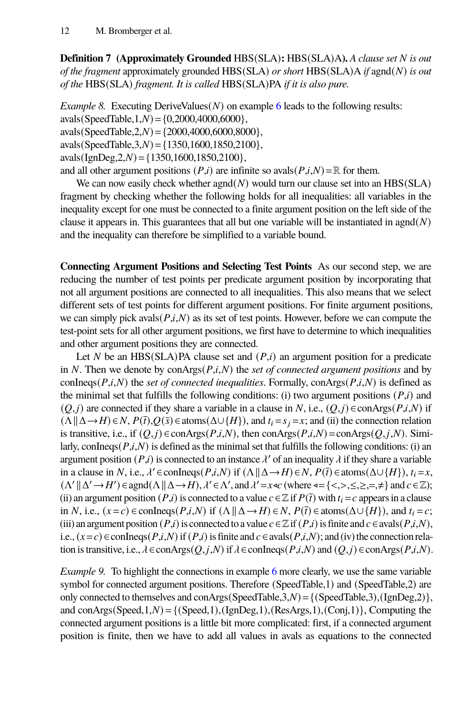**Definition 7 (Approximately Grounded** HBS(SLA)**:** HBS(SLA)A). *A clause set N* is out *of the fragment* approximately grounded HBS(SLA) *or short* HBS(SLA)A *if* agnd(*N*) *is out of the* HBS(SLA) *fragment. It is called* HBS(SLA)PA *if it is also pure.*

*Example 8.* Executing DeriveValues( $N$ ) on example [6](#page-9-1) leads to the following results:  $avals(SpeedTable, 1, N) = \{0, 2000, 4000, 6000\},$ avals(SpeedTable,  $2, N$ ) = {2000,4000,6000,8000}, avals(SpeedTable,  $3, N$ ) = {1350,1600,1850,2100},  $avals(IgnDeg, 2, N) = \{1350, 1600, 1850, 2100\},\$ and all other argument positions  $(P,i)$  are infinite so avals $(P,i,N) = \mathbb{R}$  for them.

We can now easily check whether  $\text{agnd}(N)$  would turn our clause set into an HBS(SLA) fragment by checking whether the following holds for all inequalities: all variables in the inequality except for one must be connected to a finite argument position on the left side of the clause it appears in. This guarantees that all but one variable will be instantiated in agnd $(N)$ and the inequality can therefore be simplified to a variable bound.

**Connecting Argument Positions and Selecting Test Points** As our second step, we are reducing the number of test points per predicate argument position by incorporating that not all argument positions are connected to all inequalities. This also means that we select different sets of test points for different argument positions. For finite argument positions, we can simply pick avals $(P,i,N)$  as its set of test points. However, before we can compute the test-point sets for all other argument positions, we first have to determine to which inequalities and other argument positions they are connected.

Let N be an HBS(SLA)PA clause set and  $(P,i)$  an argument position for a predicate in  $N$ . Then we denote by conArgs $(P, i, N)$  the *set of connected argument positions* and by conIneqs( $P, i, N$ ) the *set of connected inequalities*. Formally, conArgs( $P, i, N$ ) is defined as the minimal set that fulfills the following conditions: (i) two argument positions  $(P,i)$  and  $(Q, j)$  are connected if they share a variable in a clause in N, i.e.,  $(Q, j) \in \text{conArg}(P, i, N)$  if  $(\Lambda \parallel \Delta \rightarrow H) \in N$ ,  $P(\bar{t})$ ,  $Q(\bar{s}) \in \text{atoms}(\Delta \cup \{H\})$ , and  $t_i = s_j = x$ ; and (ii) the connection relation is transitive, i.e., if  $(Q, j) \in \text{conArg}(P, i, N)$ , then  $\text{conArg}(P, i, N) = \text{conArg}(Q, j, N)$ . Similarly, conIneqs $(P,i,N)$  is defined as the minimal set that fulfills the following conditions: (i) an argument position  $(P,i)$  is connected to an instance  $\lambda'$  of an inequality  $\lambda$  if they share a variable in a clause in N, i.e.,  $\lambda' \in \text{confineqs}(P, i, N)$  if  $(\Lambda \| \Delta \rightarrow H) \in N$ ,  $P(\bar{t}) \in \text{atoms}(\Delta \cup \{H\})$ ,  $t_i = x$ ,  $(\Lambda' \|\Delta' \to H') \in \text{agnd}(\Lambda \|\Delta \to H), \lambda' \in \Lambda', \text{ and } \lambda' = x \ll \text{ (where } \triangleleft = \{ \langle \langle \rangle, \langle \rangle, \langle \rangle, =, \neq \} \text{ and } c \in \mathbb{Z}\text{);}$ (ii) an argument position  $(P,i)$  is connected to a value  $c \in \mathbb{Z}$  if  $P(\bar{t})$  with  $t_i = c$  appears in a clause in N, i.e.,  $(x=c) \in \text{conIneq}(P,i,N)$  if  $(\Lambda \parallel \Delta \rightarrow H) \in N$ ,  $P(\bar{t}) \in \text{atoms}(\Delta \cup \{H\})$ , and  $t_i = c$ ; (iii) an argument position  $(P,i)$  is connected to a value  $c \in \mathbb{Z}$  if  $(P,i)$  is finite and  $c \in \alpha$ vals $(P,i,N)$ , i.e.,  $(x = c) \in \text{confineqs}(P, i, N)$  if  $(P, i)$  is finite and  $c \in \text{avals}(P, i, N)$ ; and (iv) the connection relation is transitive, i.e.,  $\lambda \in \text{conArg}(Q, j, N)$  if  $\lambda \in \text{conReg}(P, i, N)$  and  $(Q, j) \in \text{conArg}(P, i, N)$ .

*Example 9.* To highlight the connections in example [6](#page-9-1) more clearly, we use the same variable symbol for connected argument positions. Therefore (SpeedTable,1) and (SpeedTable,2) are only connected to themselves and conArgs(SpeedTable,3, $N$ ) = {(SpeedTable,3),(IgnDeg,2)}, and conArgs(Speed,1, $N$ ) = {(Speed,1),(IgnDeg,1),(ResArgs,1),(Conj,1)}, Computing the connected argument positions is a little bit more complicated: first, if a connected argument position is finite, then we have to add all values in avals as equations to the connected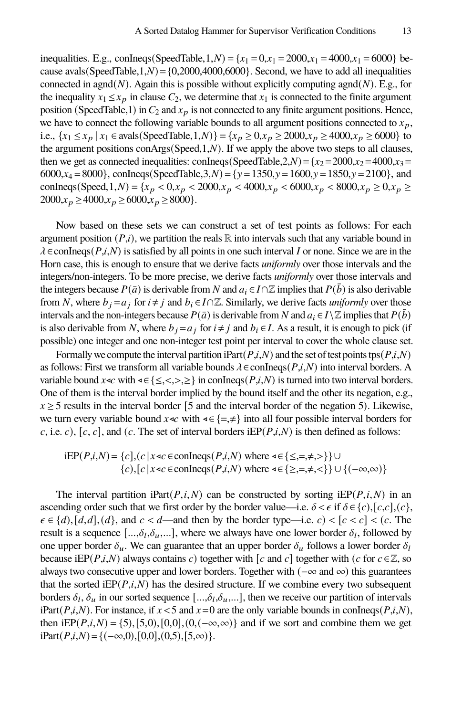inequalities. E.g., conIneqs(SpeedTable, 1, N) = { $x_1 = 0, x_1 = 2000, x_1 = 4000, x_1 = 6000$ } because avals(SpeedTable,1, $N$ ) = {0,2000,4000,6000}. Second, we have to add all inequalities connected in agnd( $N$ ). Again this is possible without explicitly computing agnd( $N$ ). E.g., for the inequality  $x_1 \le x_p$  in clause  $C_2$ , we determine that  $x_1$  is connected to the finite argument position (SpeedTable,1) in  $C_2$  and  $x_p$  is not connected to any finite argument positions. Hence, we have to connect the following variable bounds to all argument positions connected to  $x_p$ , i.e.,  $\{x_1 \le x_p | x_1 \in \text{avals}(\text{SpeedTable}, 1, N)\} = \{x_p \ge 0, x_p \ge 2000, x_p \ge 4000, x_p \ge 6000\}$  to the argument positions conArgs(Speed,1, $N$ ). If we apply the above two steps to all clauses, then we get as connected inequalities: conIneqs(SpeedTable,2,N) = { $x_2$  = 2000, $x_2$  = 4000, $x_3$  = 6000, $x_4 = 8000$ , conIneqs(SpeedTable, 3, N) = { $y = 1350$ ,  $y = 1600$ ,  $y = 1850$ ,  $y = 2100$ }, and conIneqs(Speed, 1, N) = { $x_p$  < 0, $x_p$  < 2000, $x_p$  < 4000, $x_p$  < 6000, $x_p$  < 8000, $x_p \ge 0$ , $x_p \ge 0$  $2000, x_p \ge 4000, x_p \ge 6000, x_p \ge 8000$ .

Now based on these sets we can construct a set of test points as follows: For each argument position  $(P,i)$ , we partition the reals R into intervals such that any variable bound in  $\lambda \in \text{conIneq}(P,i,N)$  is satisfied by all points in one such interval I or none. Since we are in the Horn case, this is enough to ensure that we derive facts *uniformly* over those intervals and the integers/non-integers. To be more precise, we derive facts *uniformly* over those intervals and the integers because  $P(\bar{a})$  is derivable from N and  $a_i \in I \cap \mathbb{Z}$  implies that  $P(\bar{b})$  is also derivable from N, where  $b_i = a_i$  for  $i \neq j$  and  $b_i \in I \cap \mathbb{Z}$ . Similarly, we derive facts *uniformly* over those intervals and the non-integers because  $P(\bar{a})$  is derivable from N and  $a_i \in I \setminus \mathbb{Z}$  implies that  $P(\bar{b})$ is also derivable from N, where  $b_i = a_i$  for  $i \neq j$  and  $b_i \in I$ . As a result, it is enough to pick (if possible) one integer and one non-integer test point per interval to cover the whole clause set.

Formally we compute the interval partition iPart( $P,i,N$ ) and the set of test points tps( $P,i,N$ ) as follows: First we transform all variable bounds  $\lambda \in \text{confineqs}(P,i,N)$  into interval borders. A variable bound  $x \triangleleft c$  with  $\triangleleft \{ \leq, <, >, \geq \}$  in conlineqs( $P, i, N$ ) is turned into two interval borders. One of them is the interval border implied by the bound itself and the other its negation, e.g.,  $x \ge 5$  results in the interval border [5 and the interval border of the negation 5). Likewise, we turn every variable bound  $x \triangleleft c$  with  $\triangleleft \in \{=\neq\}$  into all four possible interval borders for c, i.e. c), [c, c], and (c. The set of interval borders iEP( $P, i, N$ ) is then defined as follows:

iEP(*P*,*i*,*N*) = {*c*], (*c* | *x* 
$$
\triangleleft
$$
  $\in$  *conIneqs*(*P*,*i*,*N*) where  $\triangleleft \{ \leq, =, \neq, > \} \} \cup$   
{*c*], [*c* | *x*  $\triangleleft$   $\in$  *conIneqs*(*P*,*i*,*N*) where  $\triangleleft \{ \geq, =, \neq, < \} \} \cup \{ (-\infty, \infty) \}$ 

The interval partition iPart( $P, i, N$ ) can be constructed by sorting iEP( $P, i, N$ ) in an ascending order such that we first order by the border value—i.e.  $\delta \lt \epsilon$  if  $\delta \in \{c\}$ ,  $[c,c]$ ,  $(c)$ ,  $\epsilon \in \{d\}, [d,d], (d\}, \text{ and } c < d$ —and then by the border type—i.e.  $c$ ) <  $[c < c] < (c$ . The result is a sequence  $[...,\delta_l,\delta_u,...]$ , where we always have one lower border  $\delta_l$ , followed by one upper border  $\delta_{\mu}$ . We can guarantee that an upper border  $\delta_{\mu}$  follows a lower border  $\delta_{l}$ because iEP( $P, i, N$ ) always contains c) together with [c and c] together with (c for  $c \in \mathbb{Z}$ , so always two consecutive upper and lower borders. Together with ( $-\infty$  and  $\infty$ ) this guarantees that the sorted  $iEP(P,i,N)$  has the desired structure. If we combine every two subsequent borders  $\delta_l$ ,  $\delta_u$  in our sorted sequence  $[...,\delta_l,\delta_u,...]$ , then we receive our partition of intervals iPart( $P,i,N$ ). For instance, if  $x < 5$  and  $x = 0$  are the only variable bounds in conIneqs( $P,i,N$ ), then iEP( $P, i, N$ ) = {5), [5,0), [0,0], (0, (-∞,∞)} and if we sort and combine them we get iPart( $P, i, N$ ) = {( $-\infty, 0$ ),[0,0],(0,5),[5, $\infty$ )}.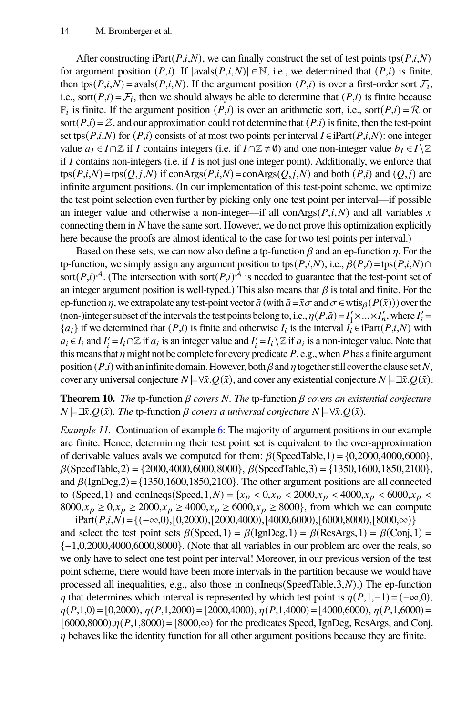After constructing iPart( $P, i, N$ ), we can finally construct the set of test points tps( $P, i, N$ ) for argument position  $(P,i)$ . If  $|\text{avals}(P,i,N)| \in \mathbb{N}$ , i.e., we determined that  $(P,i)$  is finite, then tps( $P, i, N$ ) = avals( $P, i, N$ ). If the argument position ( $P, i$ ) is over a first-order sort  $\mathcal{F}_i$ , i.e., sort( $P, i$ ) =  $\mathcal{F}_i$ , then we should always be able to determine that  $(P, i)$  is finite because  $\mathbb{F}_i$  is finite. If the argument position  $(P,i)$  is over an arithmetic sort, i.e., sort $(P,i) = \mathcal{R}$  or sort( $P,i$ ) =  $Z$ , and our approximation could not determine that ( $P,i$ ) is finite, then the test-point set tps( $P,i,N$ ) for  $(P,i)$  consists of at most two points per interval  $I \in iPart(P,i,N)$ : one integer value  $a_I \in I \cap \mathbb{Z}$  if *I* contains integers (i.e. if  $I \cap \mathbb{Z} \neq \emptyset$ ) and one non-integer value  $b_I \in I \setminus \mathbb{Z}$ if  $I$  contains non-integers (i.e. if  $I$  is not just one integer point). Additionally, we enforce that  $tps(P,i,N)$  =tps $(O,i,N)$  if conArgs $(P,i,N)$  =conArgs $(O,i,N)$  and both  $(P,i)$  and  $(O,i)$  are infinite argument positions. (In our implementation of this test-point scheme, we optimize the test point selection even further by picking only one test point per interval—if possible an integer value and otherwise a non-integer—if all conArgs( $P, i, N$ ) and all variables x connecting them in  $N$  have the same sort. However, we do not prove this optimization explicitly here because the proofs are almost identical to the case for two test points per interval.)

Based on these sets, we can now also define a tp-function  $\beta$  and an ep-function  $\eta$ . For the tp-function, we simply assign any argument position to tps $(P,i,N)$ , i.e.,  $\beta(P,i)$  =tps $(P,i,N)$  $\cap$ sort $(P,i)^{\mathcal{A}}$ . (The intersection with sort $(P,i)^{\mathcal{A}}$  is needed to guarantee that the test-point set of an integer argument position is well-typed.) This also means that  $\beta$  is total and finite. For the ep-function  $\eta$ , we extrapolate any test-point vector  $\bar{a}$  (with  $\bar{a} = \bar{x}\sigma$  and  $\sigma \in \text{wtis}_{\beta}(P(\bar{x}))$ ) over the (non-)integer subset of the intervals the test points belong to, i.e.,  $\eta(P,\bar{a}) = I'_1 \times ... \times I'_n$ , where  $I'_i = I'_i \times ... \times I'_n$  ${a_i}$  if we determined that  $(P,i)$  is finite and otherwise  $I_i$  is the interval  $I_i \in iPart(P,i,N)$  with  $a_i \in I_i$  and  $I'_i = I_i \cap \mathbb{Z}$  if  $a_i$  is an integer value and  $I'_i = I_i \setminus \mathbb{Z}$  if  $a_i$  is a non-integer value. Note that this means that  $\eta$  might not be complete for every predicate  $P$ , e.g., when  $P$  has a finite argument position  $(P,i)$  with an infinite domain. However, both  $\beta$  and  $\eta$  together still cover the clause set N, cover any universal conjecture  $N \models \forall \bar{x} \cdot Q(\bar{x})$ , and cover any existential conjecture  $N \models \exists \bar{x} \cdot Q(\bar{x})$ .

### **Theorem 10.** *The* tp-function  $\beta$  *covers*  $N$ *. The* tp-function  $\beta$  *covers an existential conjecture*  $N \models \exists \bar{x} \cdot Q(\bar{x})$ *. The* tp-function  $\beta$  *covers a universal conjecture*  $N \models \forall \bar{x} \cdot Q(\bar{x})$ *.*

*Example 11.* Continuation of example [6:](#page-9-1) The majority of argument positions in our example are finite. Hence, determining their test point set is equivalent to the over-approximation of derivable values avals we computed for them:  $\beta$ (SpeedTable, 1) = {0,2000,4000,6000},  $\beta$ (SpeedTable, 2) = {2000,4000,6000,8000},  $\beta$ (SpeedTable, 3) = {1350,1600,1850,2100}, and  $\beta$ (IgnDeg,2) = {1350,1600,1850,2100}. The other argument positions are all connected to (Speed, 1) and conIneqs(Speed, 1, N) = { $x_n < 0, x_n < 2000, x_n < 4000, x_n < 6000, x_n <$ 8000, $x_p \ge 0, x_p \ge 2000, x_p \ge 4000, x_p \ge 6000, x_p \ge 8000$ , from which we can compute  $iPart(P,i,N) = {(-∞,0), [0,2000), [2000,4000), [4000,6000), [6000,8000), [8000,∞)}$ 

and select the test point sets  $\beta$ (Speed, 1) =  $\beta$ (IgnDeg, 1) =  $\beta$ (ResArgs, 1) =  $\beta$ (Conj, 1) = {−1,0,2000,4000,6000,8000}. (Note that all variables in our problem are over the reals, so we only have to select one test point per interval! Moreover, in our previous version of the test point scheme, there would have been more intervals in the partition because we would have processed all inequalities, e.g., also those in conIneqs(SpeedTable, $3,N$ ).) The ep-function  $\eta$  that determines which interval is represented by which test point is  $\eta(P,1,-1) = (-\infty,0)$ ,  $\eta(P,1,0) = [0,2000), \eta(P,1,2000) = [2000,4000), \eta(P,1,4000) = [4000,6000), \eta(P,1,6000) =$  $[6000,8000), \eta(P,1,8000)$  =  $[8000,\infty)$  for the predicates Speed, IgnDeg, ResArgs, and Conj.  $\eta$  behaves like the identity function for all other argument positions because they are finite.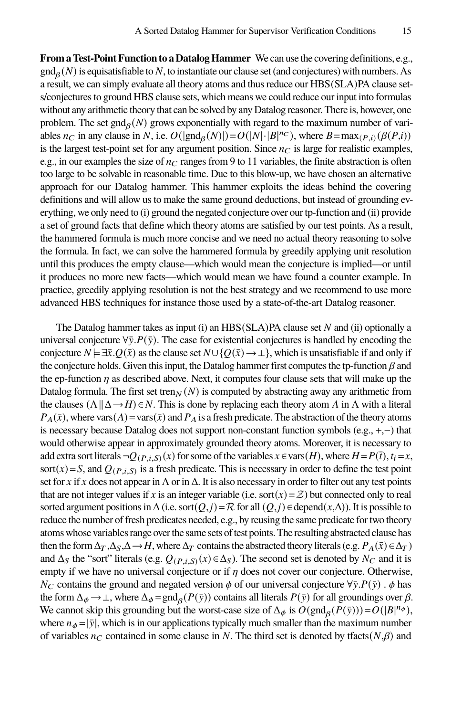**From a Test-Point Function to a Datalog Hammer** We can use the covering definitions, e.g.,  $\text{gnd}_{\beta}(N)$  is equisatisfiable to N, to instantiate our clause set (and conjectures) with numbers. As a result, we can simply evaluate all theory atoms and thus reduce our HBS(SLA)PA clause sets/conjectures to ground HBS clause sets, which means we could reduce our input into formulas without any arithmetic theory that can be solved by any Datalog reasoner. There is, however, one problem. The set  $\text{gnd}_{\beta}(N)$  grows exponentially with regard to the maximum number of variables  $n_C$  in any clause in N, i.e.  $O(|\text{gnd}_\beta(N)|) = O(|N| \cdot |B|^{n_C})$ , where  $B = \max_{(P,i)}(\beta(P,i))$ is the largest test-point set for any argument position. Since  $n<sub>C</sub>$  is large for realistic examples, e.g., in our examples the size of  $n_C$  ranges from 9 to 11 variables, the finite abstraction is often too large to be solvable in reasonable time. Due to this blow-up, we have chosen an alternative approach for our Datalog hammer. This hammer exploits the ideas behind the covering definitions and will allow us to make the same ground deductions, but instead of grounding everything, we only need to (i) ground the negated conjecture over ourtp-function and (ii) provide a set of ground facts that define which theory atoms are satisfied by our test points. As a result, the hammered formula is much more concise and we need no actual theory reasoning to solve the formula. In fact, we can solve the hammered formula by greedily applying unit resolution until this produces the empty clause—which would mean the conjecture is implied—or until it produces no more new facts—which would mean we have found a counter example. In practice, greedily applying resolution is not the best strategy and we recommend to use more advanced HBS techniques for instance those used by a state-of-the-art Datalog reasoner.

The Datalog hammer takes as input (i) an  $HBS(SLA)PA$  clause set  $N$  and (ii) optionally a universal conjecture  $\forall \bar{y}. P(\bar{y})$ . The case for existential conjectures is handled by encoding the conjecture  $N \models \exists \bar{x} \cdot Q(\bar{x})$  as the clause set  $N \cup \{Q(\bar{x}) \to \bot\}$ , which is unsatisfiable if and only if the conjecture holds. Given this input, the Datalog hammer first computes the tp-function  $\beta$  and the ep-function  $\eta$  as described above. Next, it computes four clause sets that will make up the Datalog formula. The first set tren $\gamma(N)$  is computed by abstracting away any arithmetic from the clauses  $(\Lambda \| \Delta \rightarrow H) \in N$ . This is done by replacing each theory atom A in  $\Lambda$  with a literal  $P_A(\bar{x})$ , where vars( $A$ ) = vars( $\bar{x}$ ) and  $P_A$  is a fresh predicate. The abstraction of the theory atoms is necessary because Datalog does not support non-constant function symbols (e.g., +,−) that would otherwise appear in approximately grounded theory atoms. Moreover, it is necessary to add extra sort literals  $\neg Q_{(P,i,S)}(x)$  for some of the variables  $x \in \text{vars}(H)$ , where  $H = P(\bar{t})$ ,  $t_i = x$ , sort(x) = S, and  $Q_{(P,i,S)}$  is a fresh predicate. This is necessary in order to define the test point set for x if x does not appear in  $\Lambda$  or in  $\Delta$ . It is also necessary in order to filter out any test points that are not integer values if x is an integer variable (i.e. sort(x) =  $\mathcal{Z}$ ) but connected only to real sorted argument positions in  $\Delta$  (i.e. sort $(Q, j) = \mathcal{R}$  for all  $(Q, j) \in \text{depend}(x, \Delta)$ ). It is possible to reduce the number of fresh predicates needed, e.g., by reusing the same predicate for two theory atoms whose variables range over the same sets of test points. The resulting abstracted clause has then the form  $\Delta_T$ ,  $\Delta_S$ ,  $\Delta \rightarrow H$ , where  $\Delta_T$  contains the abstracted theory literals (e.g.  $P_A(\bar{x}) \in \Delta_T$ ) and  $\Delta_S$  the "sort" literals (e.g.  $Q_{(P,i,S)}(x) \in \Delta_S$ ). The second set is denoted by  $N_C$  and it is empty if we have no universal conjecture or if  $\eta$  does not cover our conjecture. Otherwise,  $N_C$  contains the ground and negated version  $\phi$  of our universal conjecture  $\forall \bar{y}.P(\bar{y})$ .  $\phi$  has the form  $\Delta_{\phi} \to \bot$ , where  $\Delta_{\phi} = \text{gnd}_{\beta}(P(\bar{y}))$  contains all literals  $P(\bar{y})$  for all groundings over  $\beta$ . We cannot skip this grounding but the worst-case size of  $\Delta_{\phi}$  is  $O(\text{gnd}_{\beta}(P(\bar{y}))) = O(|B|^{n_{\phi}})$ , where  $n_{\phi} = |\bar{y}|$ , which is in our applications typically much smaller than the maximum number of variables  $n_C$  contained in some clause in N. The third set is denoted by tfacts( $N, \beta$ ) and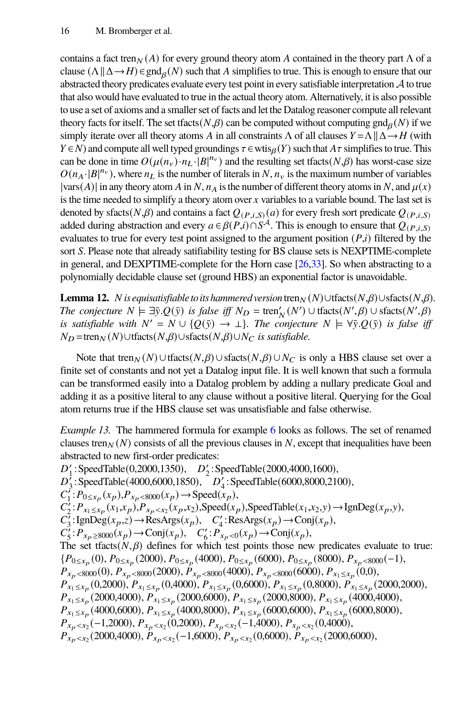contains a fact tren $_N(A)$  for every ground theory atom A contained in the theory part  $\Lambda$  of a clause  $(\Lambda \| \Delta \rightarrow H) \in \text{gnd}_{\beta}(N)$  such that A simplifies to true. This is enough to ensure that our abstracted theory predicates evaluate every test point in every satisfiable interpretation  $\mathcal A$  to true that also would have evaluated to true in the actual theory atom. Alternatively, it is also possible to use a set of axioms and a smaller set of facts and let the Datalog reasoner compute all relevant theory facts for itself. The set tfacts  $(N,\beta)$  can be computed without computing gnd $_{\beta}(N)$  if we simply iterate over all theory atoms A in all constraints  $\Lambda$  of all clauses  $Y = \Lambda || \Delta \rightarrow H$  (with  $Y \in N$ ) and compute all well typed groundings  $\tau \in w \in N$  such that  $A\tau$  simplifies to true. This can be done in time  $O(\mu(n_v) \cdot n_L \cdot |B|^{n_v})$  and the resulting set tfacts(N, $\beta$ ) has worst-case size  $O(n_A \cdot |B|^{n_v})$ , where  $n_L$  is the number of literals in N,  $n_v$  is the maximum number of variables  $|vars(A)|$  in any theory atom A in N,  $n_A$  is the number of different theory atoms in N, and  $\mu(x)$ is the time needed to simplify a theory atom over  $x$  variables to a variable bound. The last set is denoted by sfacts( $N,\beta$ ) and contains a fact  $Q_{(P_i, S)}(a)$  for every fresh sort predicate  $Q_{(P_i, S)}$ added during abstraction and every  $a \in \beta(P,i) \cap S^{\mathcal{A}}$ . This is enough to ensure that  $Q_{(P,i,S)}$ evaluates to true for every test point assigned to the argument position  $(P,i)$  filtered by the sort *S*. Please note that already satifiability testing for BS clause sets is NEXPTIME-complete in general, and DEXPTIME-complete for the Horn case [\[26](#page-21-15)[,33\]](#page-21-16). So when abstracting to a polynomially decidable clause set (ground HBS) an exponential factor is unavoidable.

**Lemma 12.** *N* is equisatisfiable to its hammered version tren $_N(N) \cup \text{facts}(N,\beta) \cup \text{sfacts}(N,\beta)$ . *The conjecture*  $N \models \exists \bar{y}. Q(\bar{y})$  *is false iff*  $N_D = \text{tren}'_N(N') \cup \text{tfacts}(N', \beta) \cup \text{sfacts}(N', \beta)$ *is satisfiable with*  $N' = N \cup \{Q(\bar{y}) \to \bot\}$ *. The conjecture*  $N \models \forall \bar{y} . Q(\bar{y})$  *is false iff*  $N_D$  =tren $_N(N)$ ∪tfacts $(N,\beta)$ ∪sfacts $(N,\beta)$ ∪ $N_C$  *is satisfiable.* 

Note that tren $_N(N) \cup$  flacts $(N,\beta) \cup$  sfacts $(N,\beta) \cup N_C$  is only a HBS clause set over a finite set of constants and not yet a Datalog input file. It is well known that such a formula can be transformed easily into a Datalog problem by adding a nullary predicate Goal and adding it as a positive literal to any clause without a positive literal. Querying for the Goal atom returns true if the HBS clause set was unsatisfiable and false otherwise.

*Example 13.* The hammered formula for example [6](#page-9-1) looks as follows. The set of renamed clauses tren $_N(N)$  consists of all the previous clauses in N, except that inequalities have been abstracted to new first-order predicates:

 $D'_1$ : SpeedTable(0,2000,1350),  $D'_2$ : SpeedTable(2000,4000,1600),  $D_3^7$ : SpeedTable(4000,6000,1850),  $D_4^7$ : SpeedTable(6000,8000,2100),  $C_1^{\gamma}$ :  $P_{0 \le x_p}(x_p)$ ,  $P_{x_p \le 8000}(x_p)$   $\rightarrow$  Speed $(x_p)$ ,  $C_2^j: P_{x_1 \leq x_p}(x_1, x_p), P_{x_p < x_2}(x_p, x_2), \text{Speed}(x_p), \text{SpeedTable}(x_1, x_2, y) \rightarrow \text{IgnDeg}(x_p, y),$  $C_3^7$ : IgnDeg( $x_p, z$ )  $\rightarrow$  ResArgs( $x_p$ ),  $C_4^r$ : ResArgs( $x_p$ )  $\rightarrow$  Conj( $x_p$ ),  $C'_{5}: P_{x_{p}} \geq 8000(x_{p}) \rightarrow \text{Conj}(x_{p}), \quad C'_{6}: P_{x_{p}} \lt 0(x_{p}) \rightarrow \text{Conj}(x_{p}),$ The set tfacts $(N, \beta)$  defines for which test points those new predicates evaluate to true:  $\{P_{0\leq x_p}(0), P_{0\leq x_p}(2000), P_{0\leq x_p}(4000), P_{0\leq x_p}(6000), P_{0\leq x_p}(8000), P_{x_p<8000}(-1),$  $P_{x_p} \ll 8000(0), P_{x_p} \ll 8000(2000), P_{x_p} \ll 8000(4000), P_{x_p} \ll 8000(6000), P_{x_1 \leq x_p}(0,0),$  $P_{x_1 \le x_p}(0,2000)$ ,  $P_{x_1 \le x_p}(0,4000)$ ,  $P_{x_1 \le x_p}(0,6000)$ ,  $P_{x_1 \le x_p}(0,8000)$ ,  $P_{x_1 \le x_p}(2000,2000)$ ,  $P_{x_1 \le x_p}(2000,4000)$ ,  $P_{x_1 \le x_p}(2000,6000)$ ,  $P_{x_1 \le x_p}(2000,8000)$ ,  $P_{x_1 \le x_p}(4000,4000)$ ,  $P_{x_1 \le x_p}$  (4000,6000),  $P_{x_1 \le x_p}$  (4000,8000),  $P_{x_1 \le x_p}$  (6000,6000),  $P_{x_1 \le x_p}$  (6000,8000),  $P_{x_p \lt x_2}(-1,2000), P_{x_p \lt x_2}(0,2000), P_{x_p \lt x_2}(-1,4000), P_{x_p \lt x_2}(0,4000),$  $P_{x_p \lt x_2}(2000,4000), P_{x_p \lt x_2}(-1,6000), P_{x_p \lt x_2}(0,6000), P_{x_p \lt x_2}(2000,6000),$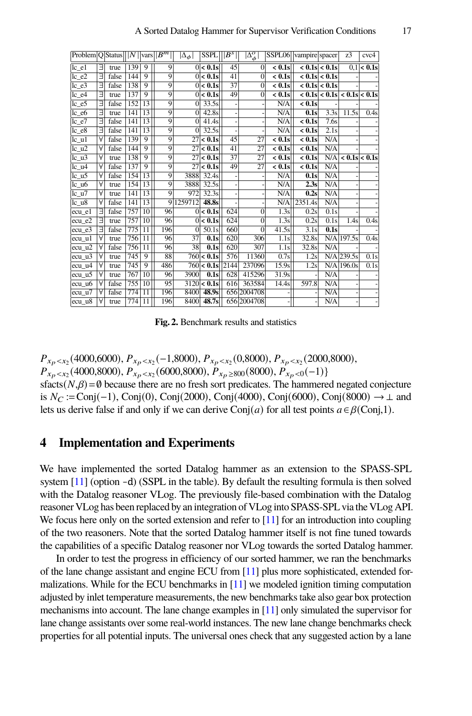| $ P_{\text{roblem}} Q $ Status $   N  _{\text{vars}}  B^m  $ |   |       |     |                 |                | $ \Delta_{\phi} $ | <b>SSPL</b>           | $  B^s  $       | $ \Delta_\phi^o $ | SSPL06 vampire spacer |                     |                     | z <sub>3</sub>                                    | cvc4                     |
|--------------------------------------------------------------|---|-------|-----|-----------------|----------------|-------------------|-----------------------|-----------------|-------------------|-----------------------|---------------------|---------------------|---------------------------------------------------|--------------------------|
| $lc$ $el$                                                    | Е | true  | 139 | 9               | 9              |                   | $0 < 0.1$ s           | 45              | $\Omega$          | $< 0.1$ s             |                     | $< 0.1$ s $< 0.1$ s |                                                   | $0.1 < 0.1$ s            |
| $lc$ $e2$                                                    | Ε | false | 144 | $\overline{9}$  | $\overline{9}$ |                   | 0 < 0.1s              | 41              | $\overline{0}$    | $< 0.1$ s             |                     | $< 0.1$ s $< 0.1$ s |                                                   |                          |
| $lc_e3$                                                      | E | false | 138 | 9               | 9              |                   | 0 < 0.1s              | $\overline{37}$ | $\theta$          | $< 0.1$ s             |                     | $< 0.1$ s $< 0.1$ s |                                                   |                          |
| $lc$ $e4$                                                    | Е | true  | 137 | 9               | 9              |                   | $0 < 0.1$ s           | 49              | $\Omega$          | $< 0.1$ s             |                     |                     | $< 0.1$ s $< 0.1$ s $< 0.1$ s $< 0.1$ s $< 0.1$ s |                          |
| $lc$ $e5$                                                    | Е | false | 152 | 13              | 9              | $\Omega$          | 33.5s                 |                 |                   | N/A                   | $< 0.1$ s           |                     |                                                   |                          |
| $lc_e6$                                                      | Е | true  | 141 | 13              | $\overline{9}$ | $\Omega$          | 42.8s                 |                 |                   | N/A                   | 0.1s                | 3.3s                | 11.5s                                             | 0.4s                     |
| $lc$ $e7$                                                    | Е | false | 141 | 13              | 9              | $\overline{0}$    | $\overline{41.4s}$    |                 |                   | N/A                   | $< 0.1$ s           | 7.6s                |                                                   |                          |
| $lc$ $e8$                                                    | Е | false | 141 | 13              | $\overline{9}$ | $\Omega$          | 32.5s                 |                 |                   | N/A                   | $< 0.1$ s           | 2.1s                |                                                   |                          |
| $lc\_u1$                                                     | ν | false | 139 | 9               | 9              | 27                | $< 0.1$ s             | 45              | 27                | $< 0.1$ s             | $< 0.1$ s           | N/A                 |                                                   |                          |
| $lc_12$                                                      | Υ | false | 144 | 9               | 9              | 27                | < 0.1s                | 41              | 27                | $< 0.1$ s             | $< 0.1$ s           | N/A                 |                                                   |                          |
| $lc_13$                                                      | Υ | true  | 138 | $\overline{9}$  | $\overline{9}$ | 27                | $\overline{< 0.1s}$   | $\overline{37}$ | $\overline{27}$   | $< 0.1$ s             | $< 0.1$ s           | N/A                 |                                                   | $< 0.1$ s $< 0.1$ s      |
| $lc_14$                                                      | ν | false | 137 | $\overline{9}$  | $\overline{9}$ | 27                | $< 0.1$ s             | 49              | $\overline{27}$   | $< 0.1$ s             | $\overline{<}$ 0.1s | N/A                 |                                                   |                          |
| $lc_{10}5$                                                   | Α | false | 154 | 13              | 9              | 3888              | 32.4s                 |                 |                   | N/A                   | 0.1s                | N/A                 |                                                   |                          |
| $lc_1$ u $6$                                                 | Α | true  | 154 | 13              | $\overline{9}$ | 3888              | 32.5s                 |                 |                   | N/A                   | 2.3s                | N/A                 |                                                   |                          |
| $lc_u7$                                                      | Δ | true  | 141 | 13              | $\overline{9}$ | 972               | 32.3s                 |                 |                   | N/A                   | 0.2s                | N/A                 |                                                   |                          |
| $lc_1 8$                                                     | Α | false | 141 | 13              | 9              | 1259712           | 48.8s                 |                 |                   | N/A                   | 2351.4s             | N/A                 |                                                   |                          |
| ecu e1                                                       | Е | false | 757 | 10              | 96             |                   | $\overline{0}$ < 0.1s | 624             | $\theta$          | 1.3s                  | 0.2s                | 0.1s                |                                                   |                          |
| $lecu_e^2$                                                   | Ε | true  | 757 | 10              | 96             |                   | 0 < 0.1s              | 624             | $\mathbf{0}$      | 1.3s                  | 0.2s                | 0.1s                | 1.4s                                              | 0.4s                     |
| ecu e3                                                       | Е | false | 775 | 11              | 196            | $\Omega$          | 50.1s                 | 660             | $\theta$          | 41.5s                 | 3.1s                | 0.1s                |                                                   | $\overline{\phantom{m}}$ |
| ecu ul                                                       | Α | true  | 756 | 11              | 96             | 37                | 0.1s                  | 620             | 306               | 1.1s                  | 32.8s               |                     | $N/A$ 197.5s                                      | 0.4s                     |
| ecu u2                                                       | Α | false | 756 | $\overline{11}$ | 96             | 38                | 0.1s                  | 620             | 307               | 1.1s                  | 32.8s               | N/A                 |                                                   |                          |
| $ecu_1$                                                      | Α | true  | 745 | 9               | 88             |                   | 760 < 0.1s            | 576             | 11360             | 0.7s                  | 1.2s                |                     | $N/A$  239.5s                                     | 0.1s                     |
| ecu_u4                                                       | Α | true  | 745 | $\overline{9}$  | 486            |                   | 760 < 0.1s            | 2144            | 237096            | 15.9s                 | 1.2s                |                     | $N/A$ 196.0s                                      | 0.1s                     |
| ecu u5                                                       | Α | true  | 767 | $\overline{10}$ | 96             | 3900              | 0.1s                  | 628             | 415296            | 31.9s                 |                     | N/A                 |                                                   |                          |
| ecu_u6                                                       |   | false | 755 | 10              | 95             | 3120              | $< 0.1$ s             | 616             | 363584            | 14.4s                 | 597.8               | N/A                 |                                                   |                          |
| $ecu_u7$                                                     |   | false | 774 | 11              | 196            | 8400              | 48.9s                 |                 | 656 2004708       |                       |                     | N/A                 |                                                   |                          |
| $ ecu_u $                                                    | Υ | true  | 774 | $\overline{11}$ | 196            | 8400              | 48.7s                 |                 | 656 2004 708      |                       |                     | N/A                 |                                                   |                          |

<span id="page-17-1"></span>**Fig. 2.** Benchmark results and statistics

 $P_{x_p \le x_2}$ (4000,6000),  $P_{x_p \le x_2}$ (-1,8000),  $P_{x_p \le x_2}$ (0,8000),  $P_{x_p \le x_2}$ (2000,8000),  $P_{x_p \lt x_2}(4000,8000), P_{x_p \lt x_2}(6000,8000), P_{x_p \ge 800}(8000), P_{x_p \lt 0}(-1)$ sfacts( $N,\beta$ ) = Ø because there are no fresh sort predicates. The hammered negated conjecture is  $N_C := \text{Conj}(-1)$ , Conj(0), Conj(2000), Conj(4000), Conj(6000), Conj(8000) → ⊥ and lets us derive false if and only if we can derive  $Conj(a)$  for all test points  $a \in \beta$ (Conj,1).

#### <span id="page-17-0"></span>**4 Implementation and Experiments**

We have implemented the sorted Datalog hammer as an extension to the SPASS-SPL system [\[11\]](#page-20-2) (option -d) (SSPL in the table). By default the resulting formula is then solved with the Datalog reasoner VLog. The previously file-based combination with the Datalog reasoner VLog has been replaced by an integration of VLog into SPASS-SPL via the VLog API. We focus here only on the sorted extension and refer to  $[11]$  for an introduction into coupling of the two reasoners. Note that the sorted Datalog hammer itself is not fine tuned towards the capabilities of a specific Datalog reasoner nor VLog towards the sorted Datalog hammer.

In order to test the progress in efficiency of our sorted hammer, we ran the benchmarks of the lane change assistant and engine ECU from [\[11\]](#page-20-2) plus more sophisticated, extended formalizations. While for the ECU benchmarks in  $[11]$  we modeled ignition timing computation adjusted by inlet temperature measurements, the new benchmarks take also gear box protection mechanisms into account. The lane change examples in [\[11\]](#page-20-2) only simulated the supervisor for lane change assistants over some real-world instances. The new lane change benchmarks check properties for all potential inputs. The universal ones check that any suggested action by a lane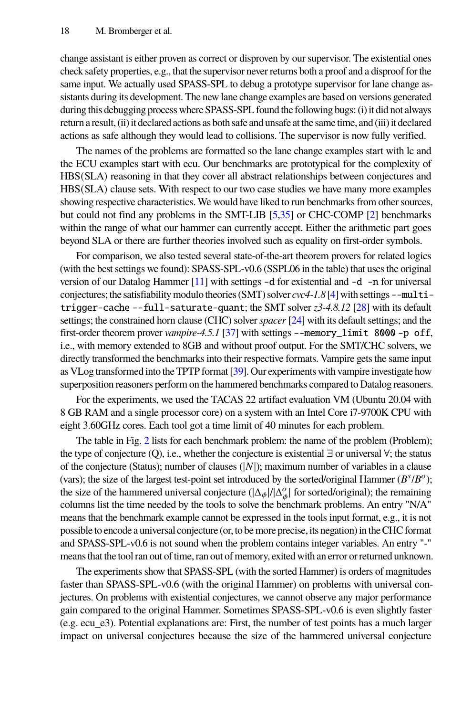change assistant is either proven as correct or disproven by our supervisor. The existential ones check safety properties, e.g., that the supervisor never returns both a proof and a disproof for the same input. We actually used SPASS-SPL to debug a prototype supervisor for lane change assistants during its development. The new lane change examples are based on versions generated during this debugging process where SPASS-SPL found the following bugs: (i) it did not always return a result, (ii) it declared actions as both safe and unsafe at the same time, and (iii) it declared actions as safe although they would lead to collisions. The supervisor is now fully verified.

The names of the problems are formatted so the lane change examples start with lc and the ECU examples start with ecu. Our benchmarks are prototypical for the complexity of HBS(SLA) reasoning in that they cover all abstract relationships between conjectures and HBS(SLA) clause sets. With respect to our two case studies we have many more examples showing respective characteristics. We would have liked to run benchmarks from other sources, but could not find any problems in the SMT-LIB [\[5,](#page-20-12)[35\]](#page-22-4) or CHC-COMP [\[2\]](#page-20-13) benchmarks within the range of what our hammer can currently accept. Either the arithmetic part goes beyond SLA or there are further theories involved such as equality on first-order symbols.

For comparison, we also tested several state-of-the-art theorem provers for related logics (with the best settings we found): SPASS-SPL-v0.6 (SSPL06 in the table) that uses the original version of our Datalog Hammer [\[11\]](#page-20-2) with settings -d for existential and -d -n for universal conjectures; the satisfiability modulo theories (SMT) solver *cvc4-1.8* [\[4\]](#page-20-14) with settings --multitrigger-cache --full-saturate-quant; the SMT solver *z3-4.8.12* [\[28\]](#page-21-17) with its default settings; the constrained horn clause (CHC) solver*spacer* [\[24\]](#page-21-18) with its default settings; and the first-order theorem prover *vampire-4.5.1* [\[37\]](#page-22-3) with settings --memory\_limit 8000 -p off, i.e., with memory extended to 8GB and without proof output. For the SMT/CHC solvers, we directly transformed the benchmarks into their respective formats. Vampire gets the same input as VLog transformed into the TPTP format [\[39\]](#page-22-5). Our experiments with vampire investigate how superposition reasoners perform on the hammered benchmarks compared to Datalog reasoners.

For the experiments, we used the TACAS 22 artifact evaluation VM (Ubuntu 20.04 with 8 GB RAM and a single processor core) on a system with an Intel Core i7-9700K CPU with eight 3.60GHz cores. Each tool got a time limit of 40 minutes for each problem.

The table in Fig. [2](#page-17-1) lists for each benchmark problem: the name of the problem (Problem); the type of conjecture (Q), i.e., whether the conjecture is existential ∃ or universal ∀; the status of the conjecture (Status); number of clauses ( $|N|$ ); maximum number of variables in a clause (vars); the size of the largest test-point set introduced by the sorted/original Hammer ( $B<sup>s</sup>/B<sup>o</sup>$ ); the size of the hammered universal conjecture  $(|\Delta_{\phi}|/|\Delta_{\phi}^o|)$  for sorted/original); the remaining columns list the time needed by the tools to solve the benchmark problems. An entry "N/A" means that the benchmark example cannot be expressed in the tools input format, e.g., it is not possible to encode a universal conjecture (or, to be more precise, its negation) in the CHC format and SPASS-SPL-v0.6 is not sound when the problem contains integer variables. An entry "-" means that the tool ran out of time, ran out of memory, exited with an error or returned unknown.

The experiments show that SPASS-SPL (with the sorted Hammer) is orders of magnitudes faster than SPASS-SPL-v0.6 (with the original Hammer) on problems with universal conjectures. On problems with existential conjectures, we cannot observe any major performance gain compared to the original Hammer. Sometimes SPASS-SPL-v0.6 is even slightly faster (e.g. ecu\_e3). Potential explanations are: First, the number of test points has a much larger impact on universal conjectures because the size of the hammered universal conjecture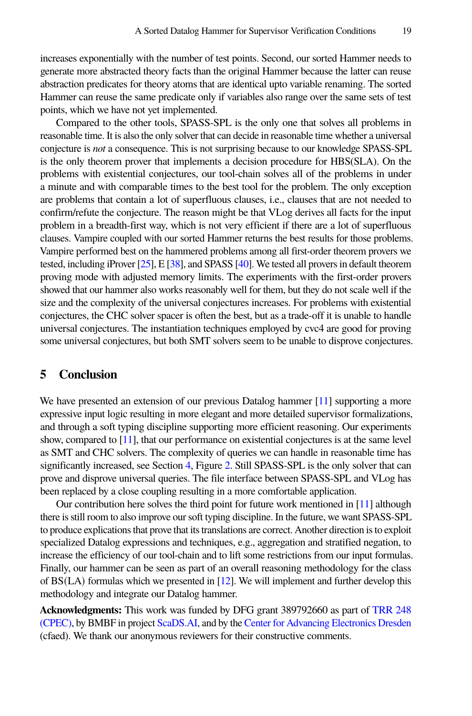increases exponentially with the number of test points. Second, our sorted Hammer needs to generate more abstracted theory facts than the original Hammer because the latter can reuse abstraction predicates for theory atoms that are identical upto variable renaming. The sorted Hammer can reuse the same predicate only if variables also range over the same sets of test points, which we have not yet implemented.

Compared to the other tools, SPASS-SPL is the only one that solves all problems in reasonable time. It is also the only solver that can decide in reasonable time whether a universal conjecture is *not* a consequence. This is not surprising because to our knowledge SPASS-SPL is the only theorem prover that implements a decision procedure for HBS(SLA). On the problems with existential conjectures, our tool-chain solves all of the problems in under a minute and with comparable times to the best tool for the problem. The only exception are problems that contain a lot of superfluous clauses, i.e., clauses that are not needed to confirm/refute the conjecture. The reason might be that VLog derives all facts for the input problem in a breadth-first way, which is not very efficient if there are a lot of superfluous clauses. Vampire coupled with our sorted Hammer returns the best results for those problems. Vampire performed best on the hammered problems among all first-order theorem provers we tested, including iProver [\[25\]](#page-21-11), E [\[38\]](#page-22-1), and SPASS [\[40\]](#page-22-2). We tested all provers in default theorem proving mode with adjusted memory limits. The experiments with the first-order provers showed that our hammer also works reasonably well for them, but they do not scale well if the size and the complexity of the universal conjectures increases. For problems with existential conjectures, the CHC solver spacer is often the best, but as a trade-off it is unable to handle universal conjectures. The instantiation techniques employed by cvc4 are good for proving some universal conjectures, but both SMT solvers seem to be unable to disprove conjectures.

### <span id="page-19-0"></span>**5 Conclusion**

We have presented an extension of our previous Datalog hammer [\[11\]](#page-20-2) supporting a more expressive input logic resulting in more elegant and more detailed supervisor formalizations, and through a soft typing discipline supporting more efficient reasoning. Our experiments show, compared to [\[11\]](#page-20-2), that our performance on existential conjectures is at the same level as SMT and CHC solvers. The complexity of queries we can handle in reasonable time has significantly increased, see Section [4,](#page-17-0) Figure [2.](#page-17-1) Still SPASS-SPL is the only solver that can prove and disprove universal queries. The file interface between SPASS-SPL and VLog has been replaced by a close coupling resulting in a more comfortable application.

Our contribution here solves the third point for future work mentioned in  $[11]$  although there is still room to also improve our soft typing discipline. In the future, we want SPASS-SPL to produce explications that prove that its translations are correct. Another direction is to exploit specialized Datalog expressions and techniques, e.g., aggregation and stratified negation, to increase the efficiency of our tool-chain and to lift some restrictions from our input formulas. Finally, our hammer can be seen as part of an overall reasoning methodology for the class of BS(LA) formulas which we presented in [\[12\]](#page-20-8). We will implement and further develop this methodology and integrate our Datalog hammer.

**Acknowledgments:** This work was funded by DFG grant 389792660 as part of [TRR 248](http://perspicuous-computing.science) [\(CPEC\),](http://perspicuous-computing.science) by BMBF in project [ScaDS.AI,](https://www.scads.de) and by the [Center for Advancing Electronics Dresden](https://cfaed.tu-dresden.de/) (cfaed). We thank our anonymous reviewers for their constructive comments.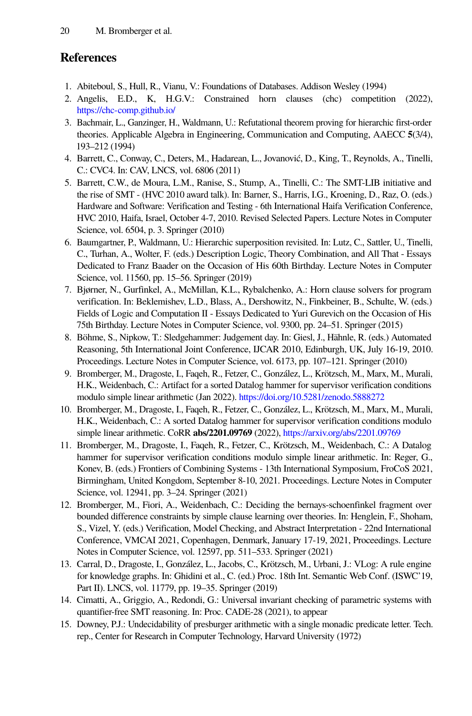# **References**

- <span id="page-20-3"></span>1. Abiteboul, S., Hull, R., Vianu, V.: Foundations of Databases. Addison Wesley (1994)
- <span id="page-20-13"></span>2. Angelis, E.D., K, H.G.V.: Constrained horn clauses (chc) competition (2022), <https://chc-comp.github.io/>
- <span id="page-20-7"></span>3. Bachmair, L., Ganzinger, H., Waldmann, U.: Refutational theorem proving for hierarchic first-order theories. Applicable Algebra in Engineering, Communication and Computing, AAECC **5**(3/4), 193–212 (1994)
- <span id="page-20-14"></span>4. Barrett, C., Conway, C., Deters, M., Hadarean, L., Jovanović, D., King, T., Reynolds, A., Tinelli, C.: CVC4. In: CAV, LNCS, vol. 6806 (2011)
- <span id="page-20-12"></span>5. Barrett, C.W., de Moura, L.M., Ranise, S., Stump, A., Tinelli, C.: The SMT-LIB initiative and the rise of SMT - (HVC 2010 award talk). In: Barner, S., Harris, I.G., Kroening, D., Raz, O. (eds.) Hardware and Software: Verification and Testing - 6th International Haifa Verification Conference, HVC 2010, Haifa, Israel, October 4-7, 2010. Revised Selected Papers. Lecture Notes in Computer Science, vol. 6504, p. 3. Springer (2010)
- <span id="page-20-11"></span>6. Baumgartner, P., Waldmann, U.: Hierarchic superposition revisited. In: Lutz, C., Sattler, U., Tinelli, C., Turhan, A., Wolter, F. (eds.) Description Logic, Theory Combination, and All That - Essays Dedicated to Franz Baader on the Occasion of His 60th Birthday. Lecture Notes in Computer Science, vol. 11560, pp. 15–56. Springer (2019)
- <span id="page-20-5"></span>7. Bjørner, N., Gurfinkel, A., McMillan, K.L., Rybalchenko, A.: Horn clause solvers for program verification. In: Beklemishev, L.D., Blass, A., Dershowitz, N., Finkbeiner, B., Schulte, W. (eds.) Fields of Logic and Computation II - Essays Dedicated to Yuri Gurevich on the Occasion of His 75th Birthday. Lecture Notes in Computer Science, vol. 9300, pp. 24–51. Springer (2015)
- <span id="page-20-0"></span>8. Böhme, S., Nipkow, T.: Sledgehammer: Judgement day. In: Giesl, J., Hähnle, R. (eds.) Automated Reasoning, 5th International Joint Conference, IJCAR 2010, Edinburgh, UK, July 16-19, 2010. Proceedings. Lecture Notes in Computer Science, vol. 6173, pp. 107–121. Springer (2010)
- <span id="page-20-9"></span>9. Bromberger, M., Dragoste, I., Faqeh, R., Fetzer, C., González, L., Krötzsch, M., Marx, M., Murali, H.K., Weidenbach, C.: Artifact for a sorted Datalog hammer for supervisor verification conditions modulo simple linear arithmetic (Jan 2022). <https://doi.org/10.5281/zenodo.5888272>
- <span id="page-20-10"></span>10. Bromberger, M., Dragoste, I., Faqeh, R., Fetzer, C., González, L., Krötzsch, M., Marx, M., Murali, H.K., Weidenbach, C.: A sorted Datalog hammer for supervisor verification conditions modulo simple linear arithmetic. CoRR **abs/2201.09769** (2022), <https://arxiv.org/abs/2201.09769>
- <span id="page-20-2"></span>11. Bromberger, M., Dragoste, I., Faqeh, R., Fetzer, C., Krötzsch, M., Weidenbach, C.: A Datalog hammer for supervisor verification conditions modulo simple linear arithmetic. In: Reger, G., Konev, B. (eds.) Frontiers of Combining Systems - 13th International Symposium, FroCoS 2021, Birmingham, United Kongdom, September 8-10, 2021. Proceedings. Lecture Notes in Computer Science, vol. 12941, pp. 3–24. Springer (2021)
- <span id="page-20-8"></span>12. Bromberger, M., Fiori, A., Weidenbach, C.: Deciding the bernays-schoenfinkel fragment over bounded difference constraints by simple clause learning over theories. In: Henglein, F., Shoham, S., Vizel, Y. (eds.) Verification, Model Checking, and Abstract Interpretation - 22nd International Conference, VMCAI 2021, Copenhagen, Denmark, January 17-19, 2021, Proceedings. Lecture Notes in Computer Science, vol. 12597, pp. 511–533. Springer (2021)
- <span id="page-20-4"></span>13. Carral, D., Dragoste, I., González, L., Jacobs, C., Krötzsch, M., Urbani, J.: VLog: A rule engine for knowledge graphs. In: Ghidini et al., C. (ed.) Proc. 18th Int. Semantic Web Conf. (ISWC'19, Part II). LNCS, vol. 11779, pp. 19–35. Springer (2019)
- <span id="page-20-6"></span>14. Cimatti, A., Griggio, A., Redondi, G.: Universal invariant checking of parametric systems with quantifier-free SMT reasoning. In: Proc. CADE-28 (2021), to appear
- <span id="page-20-1"></span>15. Downey, P.J.: Undecidability of presburger arithmetic with a single monadic predicate letter. Tech. rep., Center for Research in Computer Technology, Harvard University (1972)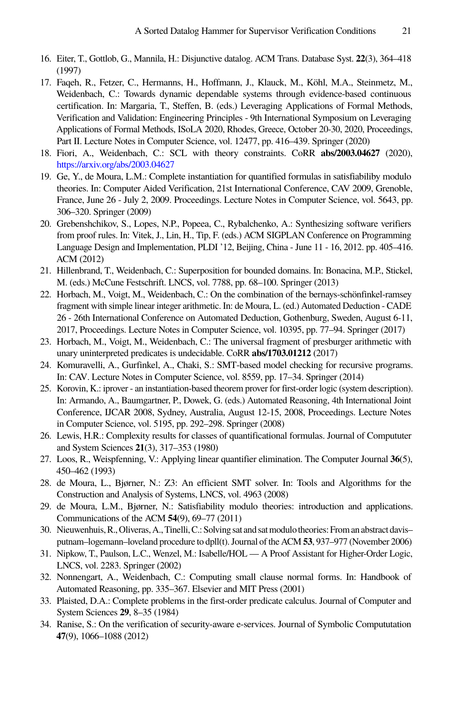- <span id="page-21-13"></span>16. Eiter, T., Gottlob, G., Mannila, H.: Disjunctive datalog. ACM Trans. Database Syst. **22**(3), 364–418 (1997)
- <span id="page-21-0"></span>17. Faqeh, R., Fetzer, C., Hermanns, H., Hoffmann, J., Klauck, M., Köhl, M.A., Steinmetz, M., Weidenbach, C.: Towards dynamic dependable systems through evidence-based continuous certification. In: Margaria, T., Steffen, B. (eds.) Leveraging Applications of Formal Methods, Verification and Validation: Engineering Principles - 9th International Symposium on Leveraging Applications of Formal Methods, ISoLA 2020, Rhodes, Greece, October 20-30, 2020, Proceedings, Part II. Lecture Notes in Computer Science, vol. 12477, pp. 416–439. Springer (2020)
- <span id="page-21-14"></span>18. Fiori, A., Weidenbach, C.: SCL with theory constraints. CoRR **abs/2003.04627** (2020), <https://arxiv.org/abs/2003.04627>
- <span id="page-21-3"></span>19. Ge, Y., de Moura, L.M.: Complete instantiation for quantified formulas in satisfiabiliby modulo theories. In: Computer Aided Verification, 21st International Conference, CAV 2009, Grenoble, France, June 26 - July 2, 2009. Proceedings. Lecture Notes in Computer Science, vol. 5643, pp. 306–320. Springer (2009)
- <span id="page-21-8"></span>20. Grebenshchikov, S., Lopes, N.P., Popeea, C., Rybalchenko, A.: Synthesizing software verifiers from proof rules. In: Vitek, J., Lin, H., Tip, F. (eds.) ACM SIGPLAN Conference on Programming Language Design and Implementation, PLDI '12, Beijing, China - June 11 - 16, 2012. pp. 405–416. ACM (2012)
- <span id="page-21-10"></span>21. Hillenbrand, T., Weidenbach, C.: Superposition for bounded domains. In: Bonacina, M.P., Stickel, M. (eds.) McCune Festschrift. LNCS, vol. 7788, pp. 68–100. Springer (2013)
- <span id="page-21-4"></span>22. Horbach, M., Voigt, M., Weidenbach, C.: On the combination of the bernays-schönfinkel-ramsey fragment with simple linear integer arithmetic. In: de Moura, L. (ed.) Automated Deduction - CADE 26 - 26th International Conference on Automated Deduction, Gothenburg, Sweden, August 6-11, 2017, Proceedings. Lecture Notes in Computer Science, vol. 10395, pp. 77–94. Springer (2017)
- <span id="page-21-2"></span>23. Horbach, M., Voigt, M., Weidenbach, C.: The universal fragment of presburger arithmetic with unary uninterpreted predicates is undecidable. CoRR **abs/1703.01212** (2017)
- <span id="page-21-18"></span>24. Komuravelli, A., Gurfinkel, A., Chaki, S.: SMT-based model checking for recursive programs. In: CAV. Lecture Notes in Computer Science, vol. 8559, pp. 17–34. Springer (2014)
- <span id="page-21-11"></span>25. Korovin, K.: iprover - an instantiation-based theorem prover for first-order logic (system description). In: Armando, A., Baumgartner, P., Dowek, G. (eds.) Automated Reasoning, 4th International Joint Conference, IJCAR 2008, Sydney, Australia, August 12-15, 2008, Proceedings. Lecture Notes in Computer Science, vol. 5195, pp. 292–298. Springer (2008)
- <span id="page-21-15"></span>26. Lewis, H.R.: Complexity results for classes of quantificational formulas. Journal of Compututer and System Sciences **21**(3), 317–353 (1980)
- <span id="page-21-5"></span>27. Loos, R., Weispfenning, V.: Applying linear quantifier elimination. The Computer Journal **36**(5), 450–462 (1993)
- <span id="page-21-17"></span>28. de Moura, L., Bjørner, N.: Z3: An efficient SMT solver. In: Tools and Algorithms for the Construction and Analysis of Systems, LNCS, vol. 4963 (2008)
- <span id="page-21-7"></span>29. de Moura, L.M., Bjørner, N.: Satisfiability modulo theories: introduction and applications. Communications of the ACM **54**(9), 69–77 (2011)
- <span id="page-21-6"></span>30. Nieuwenhuis,R., Oliveras, A., Tinelli,C.: Solving sat and sat modulotheories: From an abstract davis– putnam–logemann–loveland procedure to dpll(t). Journal of the ACM **53**, 937–977 (November 2006)
- <span id="page-21-1"></span>31. Nipkow, T., Paulson, L.C., Wenzel, M.: Isabelle/HOL — A Proof Assistant for Higher-Order Logic, LNCS, vol. 2283. Springer (2002)
- <span id="page-21-12"></span>32. Nonnengart, A., Weidenbach, C.: Computing small clause normal forms. In: Handbook of Automated Reasoning, pp. 335–367. Elsevier and MIT Press (2001)
- <span id="page-21-16"></span>33. Plaisted, D.A.: Complete problems in the first-order predicate calculus. Journal of Computer and System Sciences **29**, 8–35 (1984)
- <span id="page-21-9"></span>34. Ranise, S.: On the verification of security-aware e-services. Journal of Symbolic Compututation **47**(9), 1066–1088 (2012)